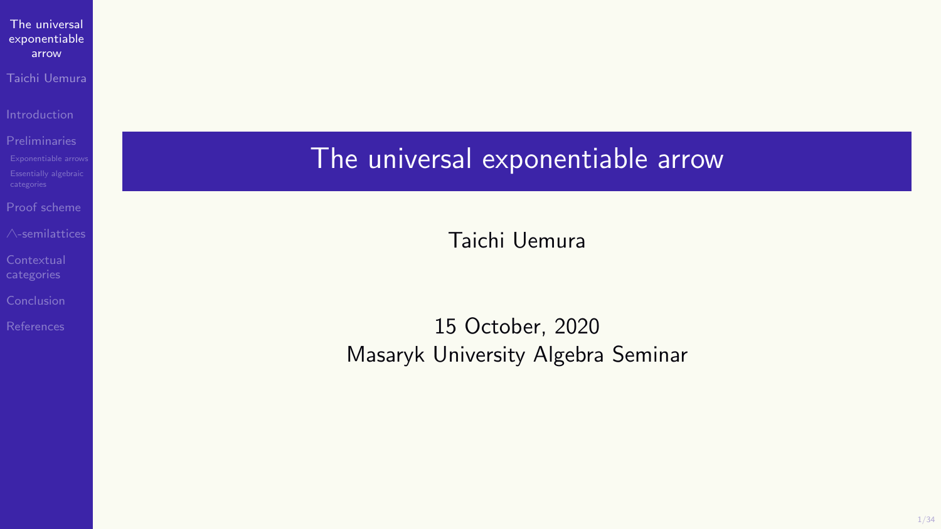<span id="page-0-0"></span>Taichi Uemura

[Preliminaries](#page-9-0) [Proof scheme](#page-14-0)

[Contextual](#page-30-0) [Conclusion](#page-47-0)

### The universal exponentiable arrow

Taichi Uemura

15 October, 2020 [Masaryk University Algebra Seminar](http://www.math.muni.cz/~bourkej/BAS.html)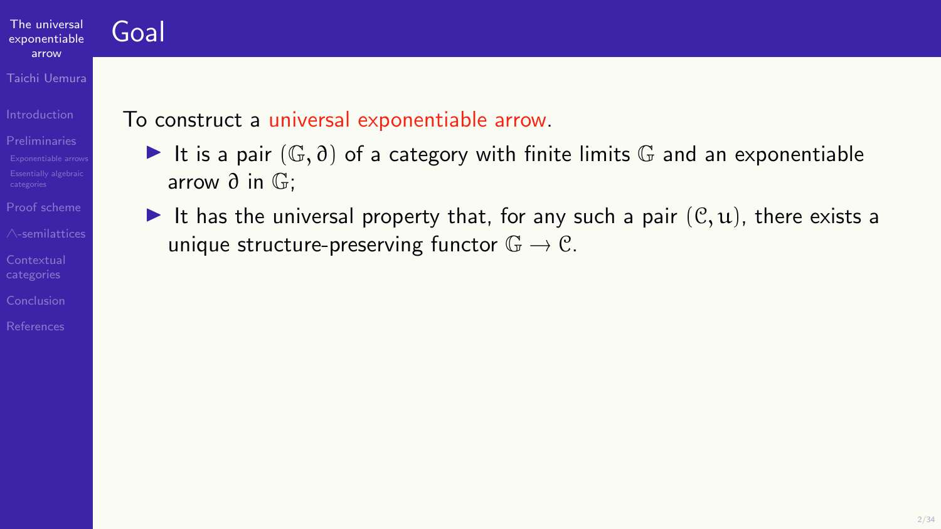Goal

#### Taichi Uemura

[Preliminaries](#page-9-0)

[Proof scheme](#page-14-0)

**[Contextual](#page-30-0)** [Conclusion](#page-47-0)

#### To construct a universal exponentiable arrow.

- It is a pair  $(\mathbb{G}, \partial)$  of a category with finite limits  $\mathbb{G}$  and an exponentiable arrow ∂ in G;
- It has the universal property that, for any such a pair  $(\mathcal{C}, \mathfrak{u})$ , there exists a unique structure-preserving functor  $\mathbb{G} \to \mathcal{C}$ .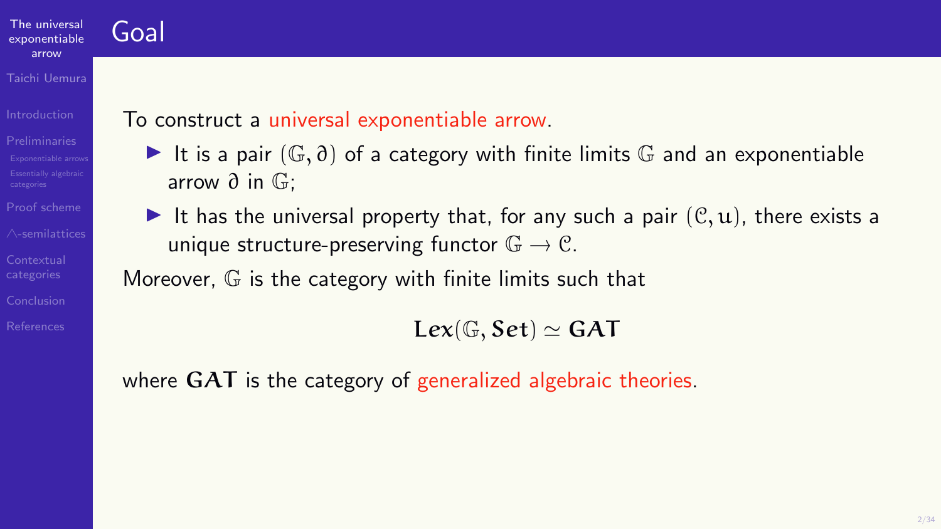### Goal

#### Taichi Uemura

[Proof scheme](#page-14-0)

**[Contextual](#page-30-0)** [Conclusion](#page-47-0)

### To construct a universal exponentiable arrow.

- It is a pair  $(\mathbb{G}, \partial)$  of a category with finite limits  $\mathbb{G}$  and an exponentiable arrow ∂ in G;
- It has the universal property that, for any such a pair  $(\mathcal{C}, \mathbf{u})$ , there exists a unique structure-preserving functor  $\mathbb{G} \to \mathcal{C}$ .

Moreover, G is the category with finite limits such that

Lex(G, Set)  $\simeq$  GAT

where GAT is the category of generalized algebraic theories.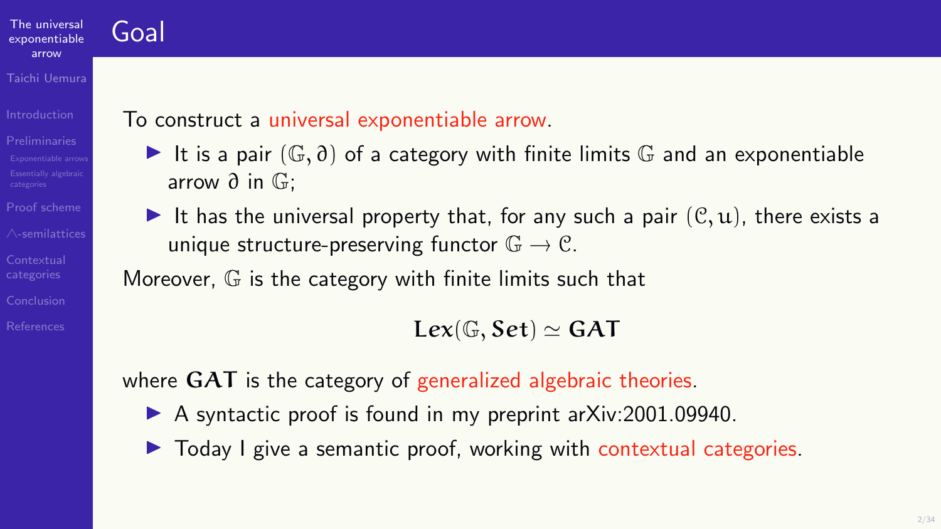### Goal

#### Taichi Uemura

[Proof scheme](#page-14-0)

[Conclusion](#page-47-0)

### To construct a universal exponentiable arrow.

- It is a pair  $(\mathbb{G}, \partial)$  of a category with finite limits  $\mathbb{G}$  and an exponentiable arrow ∂ in G;
- It has the universal property that, for any such a pair  $(\mathcal{C}, \mathbf{u})$ , there exists a unique structure-preserving functor  $\mathbb{G} \to \mathcal{C}$ .

Moreover, G is the category with finite limits such that

Lex(G, Set)  $\simeq$  GAT

where GAT is the category of generalized algebraic theories.

- $\blacktriangleright$  A syntactic proof is found in my preprint [arXiv:2001.09940.](https://arxiv.org/abs/2001.09940)
- $\triangleright$  Today I give a semantic proof, working with contextual categories.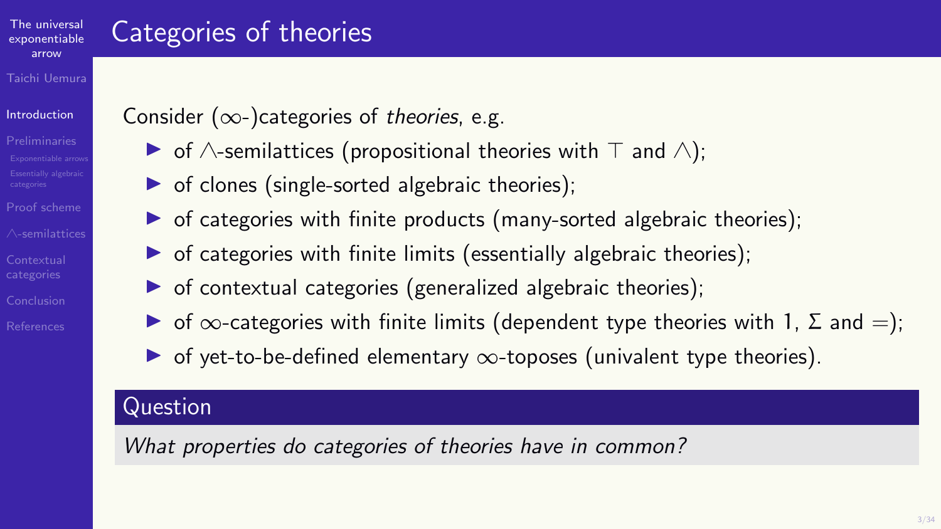# <span id="page-4-0"></span>Categories of theories

#### Taichi Uemura

#### **[Introduction](#page-4-0)**

- 
- [Proof scheme](#page-14-0)
- 
- [Contextual](#page-30-0) [Conclusion](#page-47-0)
- 

### Consider ( $\infty$ -)categories of theories, e.g.

- $\triangleright$  of  $\wedge$ -semilattices (propositional theories with  $\top$  and  $\wedge$ );
- $\triangleright$  of clones (single-sorted algebraic theories);
- $\triangleright$  of categories with finite products (many-sorted algebraic theories);
- $\triangleright$  of categories with finite limits (essentially algebraic theories);
- $\triangleright$  of contextual categories (generalized algebraic theories);
- $\triangleright$  of  $\infty$ -categories with finite limits (dependent type theories with 1,  $\Sigma$  and =);
- of yet-to-be-defined elementary  $\infty$ -toposes (univalent type theories).

### Question

What properties do categories of theories have in common?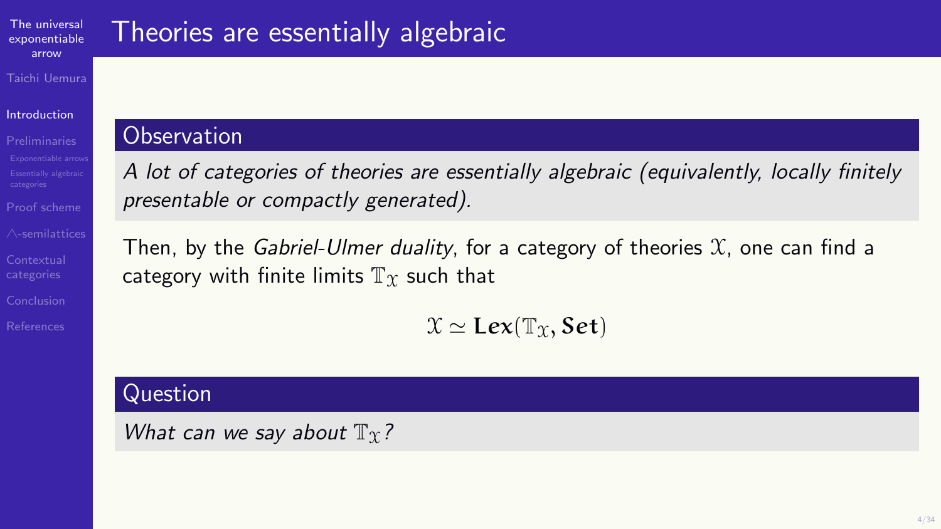# Theories are essentially algebraic

#### Taichi Uemura

#### **[Introduction](#page-4-0)**

[Proof scheme](#page-14-0)

[Contextual](#page-30-0) [Conclusion](#page-47-0)

### **Observation**

A lot of categories of theories are essentially algebraic (equivalently, locally finitely presentable or compactly generated).

Then, by the Gabriel-Ulmer duality, for a category of theories  $\mathfrak X$ , one can find a category with finite limits  $\mathbb{T}_{\Upsilon}$  such that

 $\mathfrak{X} \simeq \mathbf{Lex}(\mathbb{T}_\Upsilon, \mathbf{Set})$ 

#### Question

What can we say about  $\mathbb{T}_Y$ ?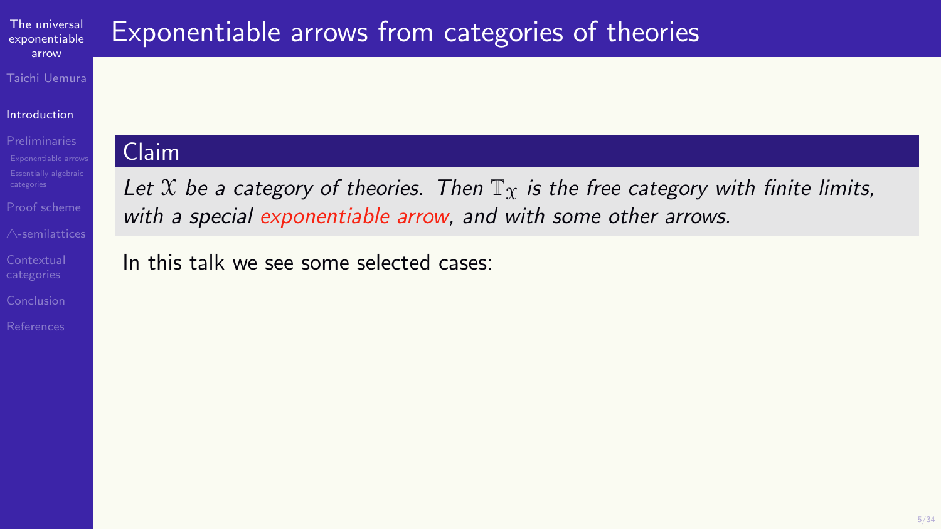#### **[Introduction](#page-4-0)**

- [Preliminaries](#page-9-0)
- [Proof scheme](#page-14-0)
- 
- **[Contextual](#page-30-0)** [Conclusion](#page-47-0)

### Exponentiable arrows from categories of theories

#### Claim

Let X be a category of theories. Then  $\mathbb{T}_X$  is the free category with finite limits, with a special exponentiable arrow, and with some other arrows.

In this talk we see some selected cases: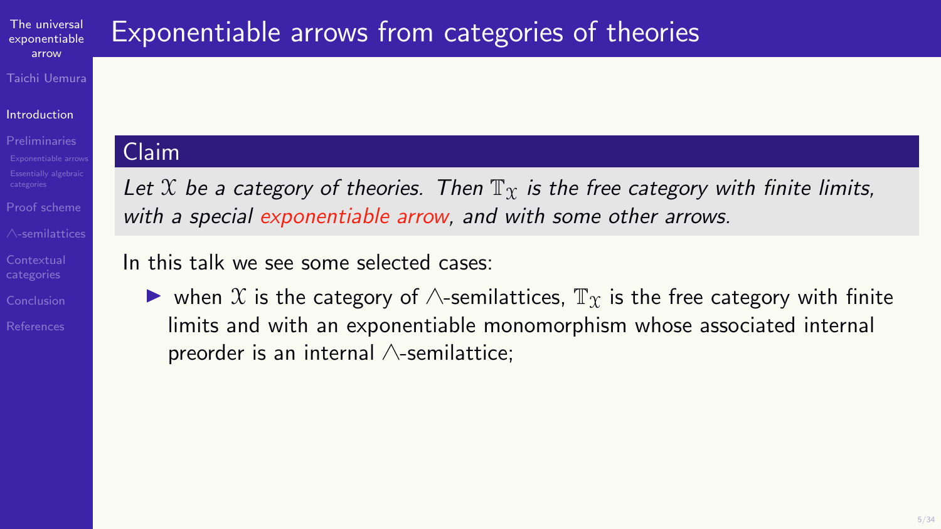#### **[Introduction](#page-4-0)**

- 
- [Proof scheme](#page-14-0)
- 
- [Contextual](#page-30-0) [Conclusion](#page-47-0)

### Exponentiable arrows from categories of theories

#### Claim

Let X be a category of theories. Then  $\mathbb{T}_{Y}$  is the free category with finite limits, with a special exponentiable arrow, and with some other arrows.

#### In this talk we see some selected cases:

 $\triangleright$  when X is the category of  $\wedge$ -semilattices,  $\mathbb{T}_{\Upsilon}$  is the free category with finite limits and with an exponentiable monomorphism whose associated internal preorder is an internal ∧-semilattice;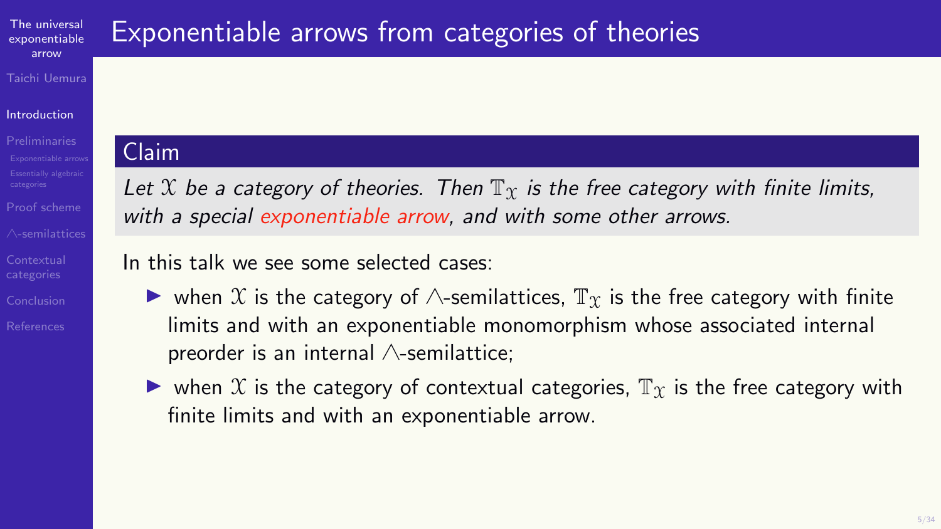#### **[Introduction](#page-4-0)**

- 
- [Proof scheme](#page-14-0)
- 
- [Contextual](#page-30-0) [Conclusion](#page-47-0)

### Exponentiable arrows from categories of theories

#### Claim

Let X be a category of theories. Then  $\mathbb{T}_{Y}$  is the free category with finite limits, with a special exponentiable arrow, and with some other arrows.

#### In this talk we see some selected cases:

- $\triangleright$  when X is the category of  $\wedge$ -semilattices,  $\mathbb{T}_{\Upsilon}$  is the free category with finite limits and with an exponentiable monomorphism whose associated internal preorder is an internal ∧-semilattice;
- In when X is the category of contextual categories,  $\mathbb{T}_\Upsilon$  is the free category with finite limits and with an exponentiable arrow.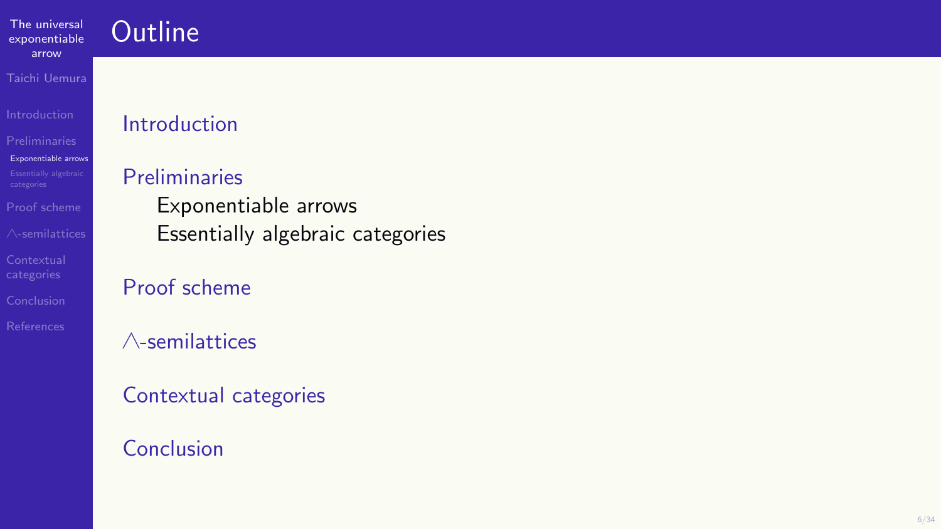### <span id="page-9-0"></span>**Outline**

#### Taichi Uemura

# [Preliminaries](#page-9-0) [Exponentiable arrows](#page-9-0)

[Proof scheme](#page-14-0)

[Conclusion](#page-47-0)

### [Introduction](#page-4-0)

### **[Preliminaries](#page-9-0)**

[Exponentiable arrows](#page-9-0) [Essentially algebraic categories](#page-13-0)

### [Proof scheme](#page-14-0)

### ∧[-semilattices](#page-23-0)

### [Contextual categories](#page-30-0)

### [Conclusion](#page-47-0)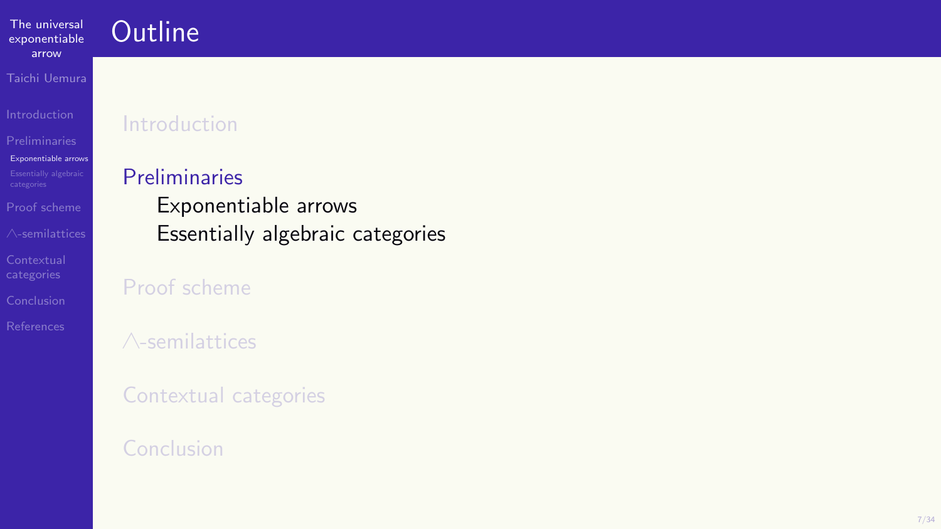### **Outline**

#### Taichi Uemura

[Exponentiable arrows](#page-9-0)

[Proof scheme](#page-14-0)

[Conclusion](#page-47-0)

### [Introduction](#page-4-0)

### [Preliminaries](#page-9-0)

[Exponentiable arrows](#page-9-0) [Essentially algebraic categories](#page-13-0)

### [Proof scheme](#page-14-0)

∧[-semilattices](#page-23-0)

[Contextual categories](#page-30-0)

**[Conclusion](#page-47-0)**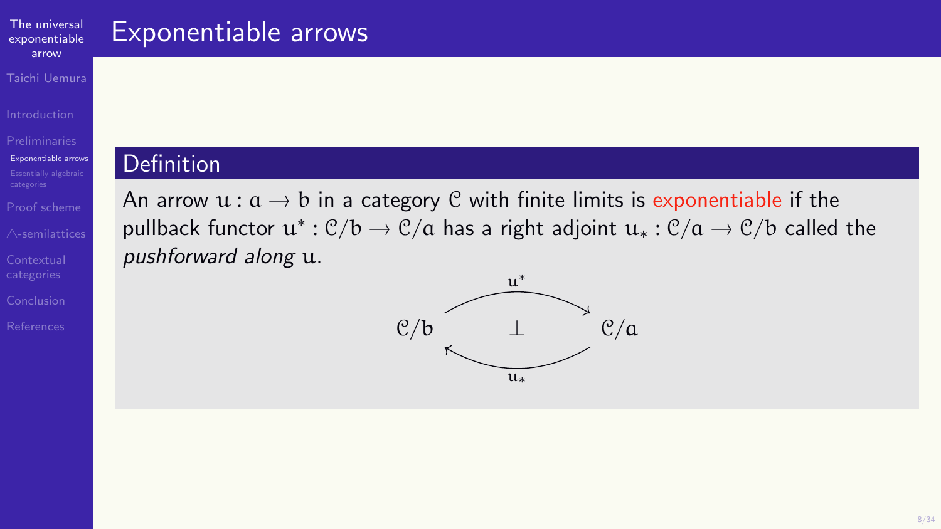### Exponentiable arrows

# Taichi Uemura

[Preliminaries](#page-9-0) [Exponentiable arrows](#page-9-0)

[Proof scheme](#page-14-0)

[Contextual](#page-30-0) [Conclusion](#page-47-0)

### Definition

An arrow  $u : a \rightarrow b$  in a category C with finite limits is exponentiable if the pullback functor  $u^*: C/b \to C/a$  has a right adjoint  $u_*: C/a \to C/b$  called the pushforward along u.

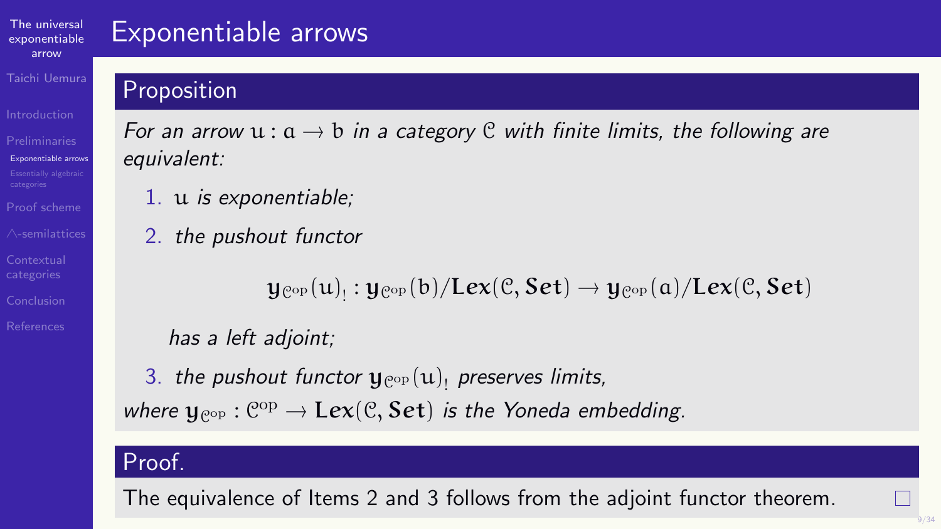#### Taichi Uemura

# [Exponentiable arrows](#page-9-0)

[Proof scheme](#page-14-0)

[Contextual](#page-30-0) [Conclusion](#page-47-0)

### Exponentiable arrows

### Proposition

For an arrow  $u : \mathfrak{a} \to \mathfrak{b}$  in a category C with finite limits, the following are equivalent:

- 1. u is exponentiable;
- 2. the pushout functor

$$
y_{\mathfrak{C}^\mathrm{op}}(u)_! : y_{\mathfrak{C}^\mathrm{op}}(b)/Lex(\mathfrak{C},\mathfrak{Set}) \to y_{\mathfrak{C}^\mathrm{op}}(a)/Lex(\mathfrak{C},\mathfrak{Set})
$$

has a left adjoint;

3. the pushout functor  $\mathbf{y}_{\mathfrak{C}^\mathrm{op}}(u)_!$  preserves limits, where  $y_{\mathcal{C}^{\mathrm{op}}} : \mathcal{C}^{\mathrm{op}} \to \mathbf{Lex}(\mathcal{C}, \mathbf{Set})$  is the Yoneda embedding.

#### Proof.

The equivalence of Items 2 and 3 follows from the adjoint functor theorem.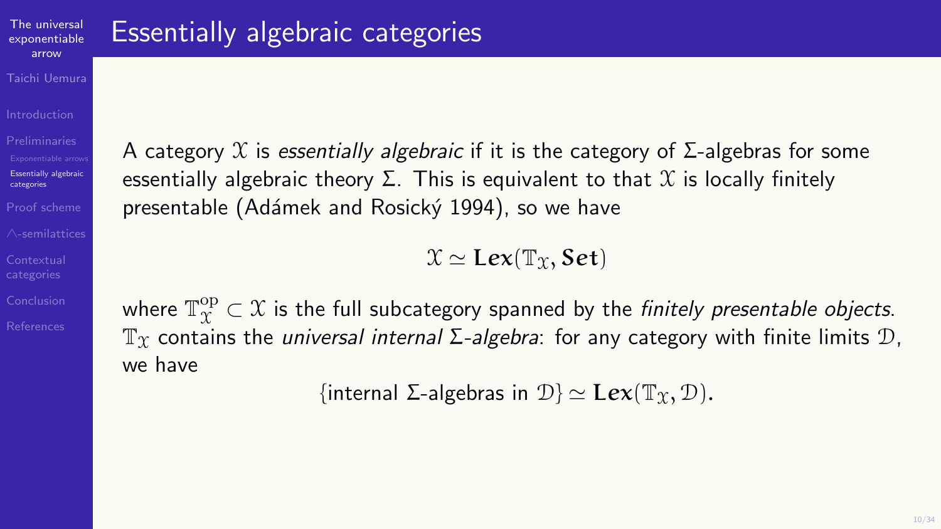### <span id="page-13-0"></span>Essentially algebraic categories

Taichi Uemura

[Essentially algebraic](#page-13-0) categories [Proof scheme](#page-14-0)

[Contextual](#page-30-0) [Conclusion](#page-47-0)

A category X is essentially algebraic if it is the category of  $\Sigma$ -algebras for some essentially algebraic theory  $\Sigma$ . This is equivalent to that  $\mathcal X$  is locally finitely presentable (Adámek and Rosický [1994\)](#page-50-1), so we have

 $\mathcal{X} \simeq \text{Lex}(\mathbb{T}_X, \text{Set})$ 

where  $\mathbb{T}^\mathrm{op}_\mathfrak{X}\subset \mathfrak{X}$  is the full subcategory spanned by the *finitely presentable objects*.  $\mathbb{T}_{\Upsilon}$  contains the *universal internal* Σ-algebra: for any category with finite limits  $\mathcal{D}$ , we have

{internal  $\Sigma$ -algebras in  $\mathcal{D}$   $\simeq$  Lex( $\mathbb{T}_{\Upsilon}$ ,  $\mathcal{D}$ ).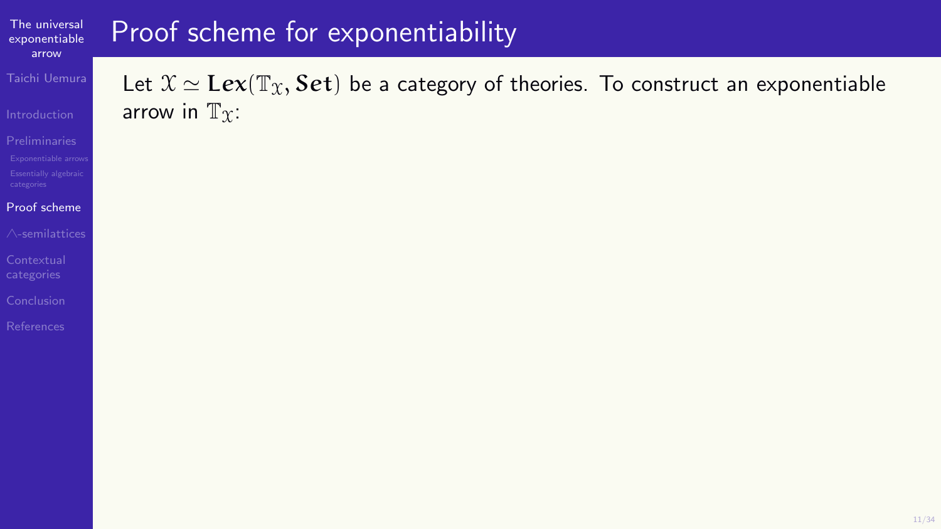#### Taichi Uemura

# [Preliminaries](#page-9-0)

#### [Proof scheme](#page-14-0)

[Conclusion](#page-47-0)

### Let  $\mathcal{X} \simeq \mathbf{Lex}(\mathbb{T}_{\mathcal{X}}, \mathbf{Set})$  be a category of theories. To construct an exponentiable arrow in  $\mathbb{T}_{\Upsilon}$ :

<span id="page-14-0"></span>Proof scheme for exponentiability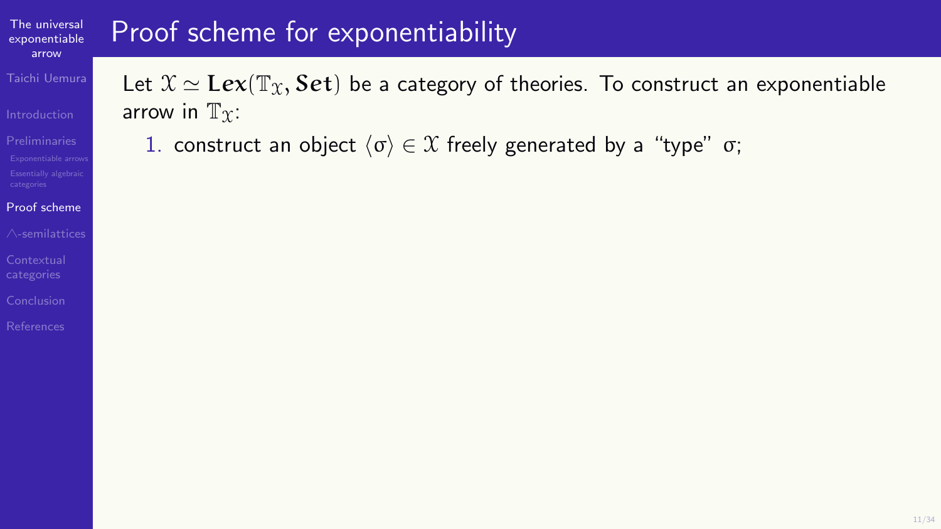#### Taichi Uemura

[Preliminaries](#page-9-0)

[Proof scheme](#page-14-0)

**[Contextual](#page-30-0)** [Conclusion](#page-47-0)

### Proof scheme for exponentiability

Let  $\mathcal{X} \simeq \mathbf{Lex}(\mathbb{T}_X, \mathbf{Set})$  be a category of theories. To construct an exponentiable arrow in  $\mathbb{T}_{\Upsilon}$ :

1. construct an object  $\langle \sigma \rangle \in \mathcal{X}$  freely generated by a "type" σ;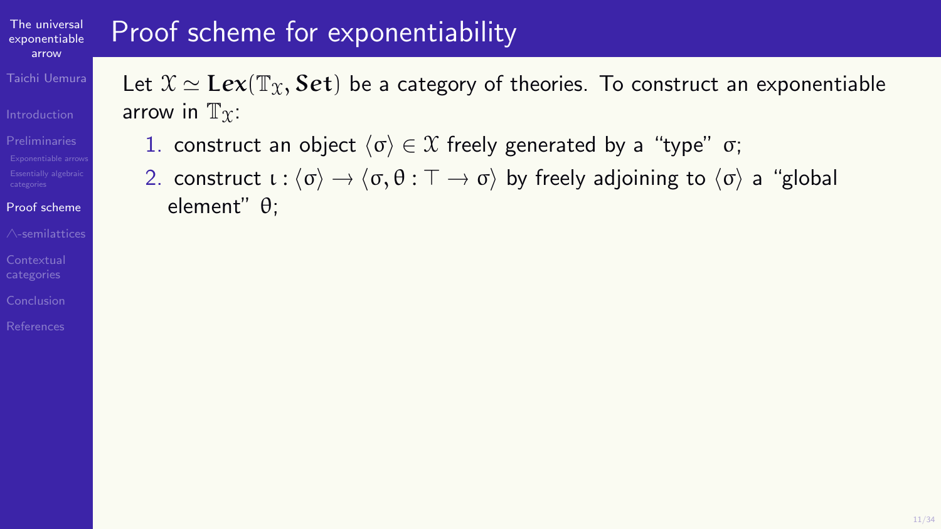#### Taichi Uemura

[Preliminaries](#page-9-0)

[Proof scheme](#page-14-0)

**[Contextual](#page-30-0)** [Conclusion](#page-47-0)

# Proof scheme for exponentiability

Let  $\mathcal{X} \simeq \mathbf{Lex}(\mathbb{T}_\Upsilon, \mathbf{Set})$  be a category of theories. To construct an exponentiable arrow in  $\mathbb{T}_{\Upsilon}$ :

1. construct an object  $\langle \sigma \rangle \in \mathcal{X}$  freely generated by a "type" σ;

2. construct  $\iota : \langle \sigma \rangle \to \langle \sigma, \theta : \top \to \sigma \rangle$  by freely adjoining to  $\langle \sigma \rangle$  a "global element" θ;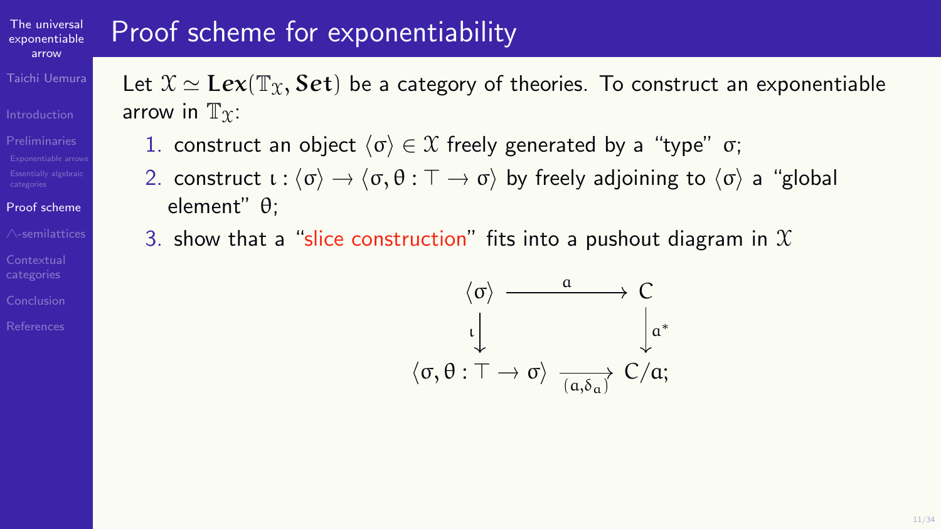#### Taichi Uemura

[Proof scheme](#page-14-0)

**[Contextual](#page-30-0)** [Conclusion](#page-47-0)

# Proof scheme for exponentiability

Let  $\mathcal{X} \simeq \mathbf{Lex}(\mathbb{T}_\Upsilon, \mathbf{Set})$  be a category of theories. To construct an exponentiable arrow in  $\mathbb{T}_{\Upsilon}$ :

- 1. construct an object  $\langle \sigma \rangle \in \mathcal{X}$  freely generated by a "type" σ;
- 2. construct  $\iota : \langle \sigma \rangle \to \langle \sigma, \theta : \top \to \sigma \rangle$  by freely adjoining to  $\langle \sigma \rangle$  a "global element" θ;
- 3. show that a "slice construction" fits into a pushout diagram in  $\mathfrak X$

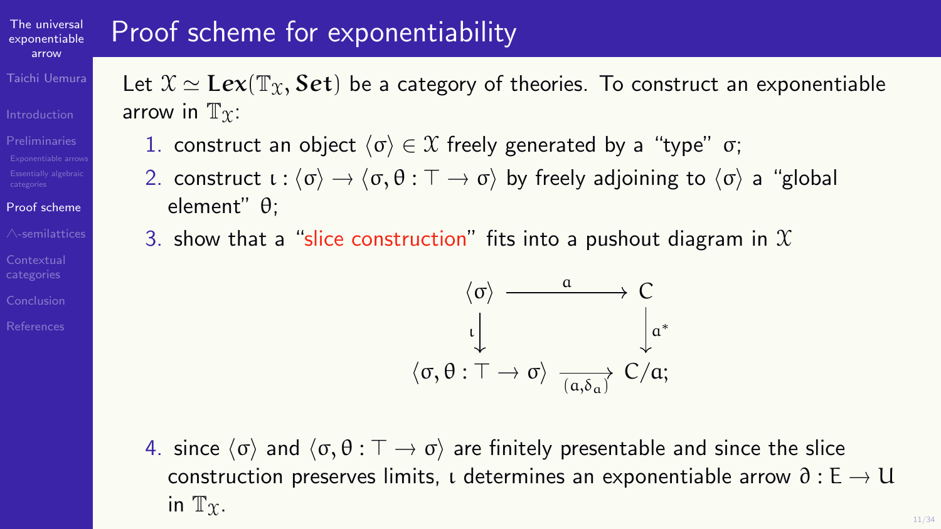#### Taichi Uemura

[Proof scheme](#page-14-0)

**[Contextual](#page-30-0)** 

[Conclusion](#page-47-0)

# Proof scheme for exponentiability

Let  $\mathcal{X} \simeq \mathbf{Lex}(\mathbb{T}_\Upsilon, \mathbf{Set})$  be a category of theories. To construct an exponentiable arrow in  $\mathbb{T}_{\Upsilon}$ :

- 1. construct an object  $\langle \sigma \rangle \in \mathcal{X}$  freely generated by a "type" σ;
- 2. construct  $\iota : \langle \sigma \rangle \to \langle \sigma, \theta : \top \to \sigma \rangle$  by freely adjoining to  $\langle \sigma \rangle$  a "global element" θ;
- 3. show that a "slice construction" fits into a pushout diagram in  $\mathfrak X$

$$
\begin{array}{ccc} \langle \sigma \rangle & \xrightarrow{\quad \ a \quad \quad \ } C \\ \downarrow \downarrow & & \downarrow \alpha^* \\ \langle \sigma, \theta : \top \rightarrow \sigma \rangle & \xrightarrow[\quad \quad (a, \delta_{\alpha}) \quad \end{array} C/a;
$$

4. since  $\langle \sigma \rangle$  and  $\langle \sigma, \theta : \top \to \sigma \rangle$  are finitely presentable and since the slice construction preserves limits,  $\iota$  determines an exponentiable arrow  $\partial : E \to U$ in  $\mathbb{T}_{\Upsilon}$ .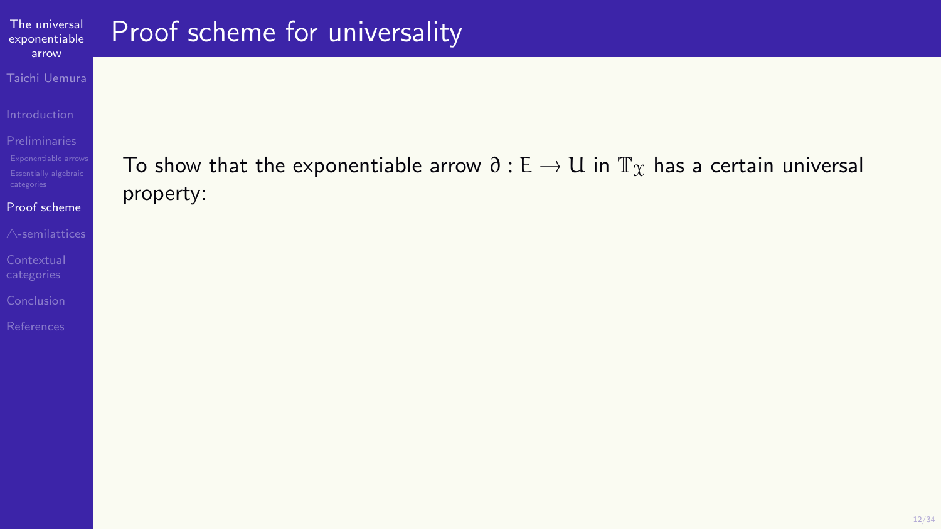[Proof scheme](#page-14-0)

[Conclusion](#page-47-0)

### Proof scheme for universality

To show that the exponentiable arrow  $\partial : E \to U$  in  $\mathbb{T}_{\mathfrak{X}}$  has a certain universal property: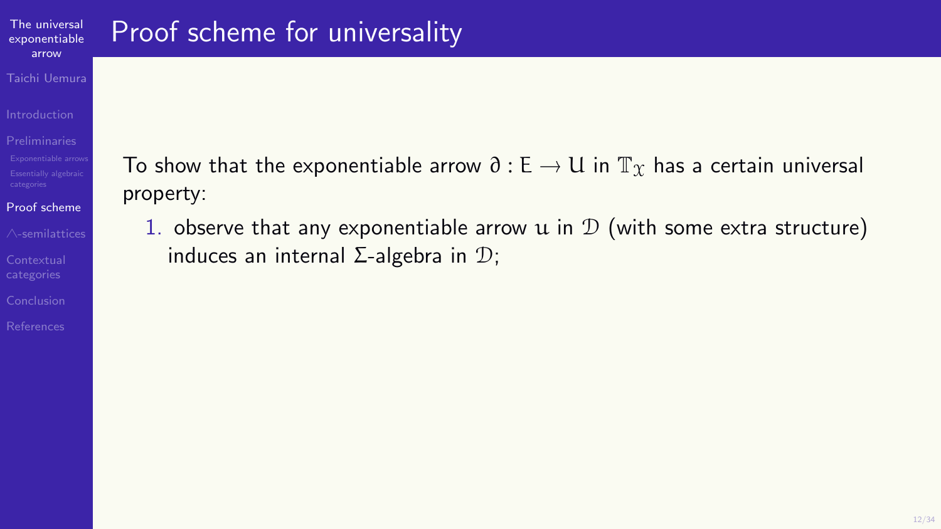### Proof scheme for universality

# Taichi Uemura

[Preliminaries](#page-9-0)

[Proof scheme](#page-14-0)

- 
- **[Contextual](#page-30-0)** [Conclusion](#page-47-0)

To show that the exponentiable arrow  $\partial : E \to U$  in  $\mathbb{T}_Y$  has a certain universal property:

1. observe that any exponentiable arrow  $\mu$  in  $\mathcal{D}$  (with some extra structure) induces an internal Σ-algebra in D;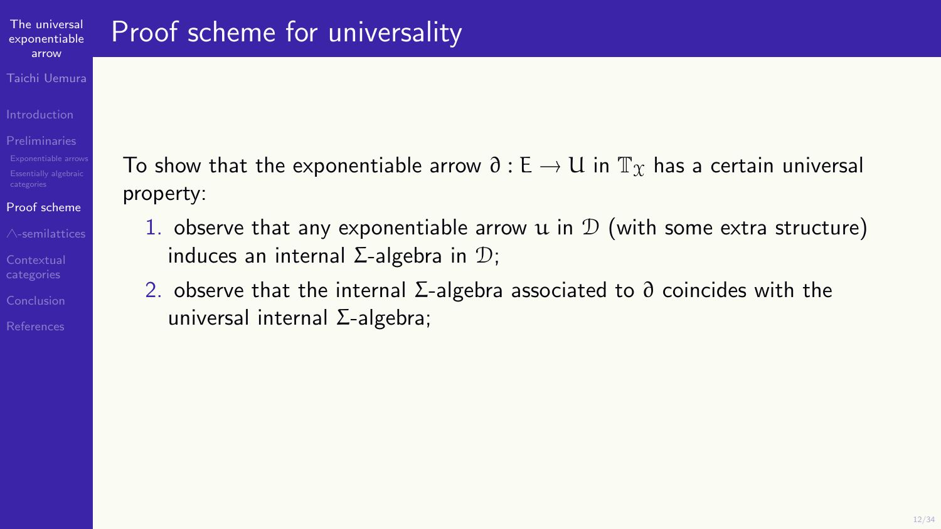### Proof scheme for universality

- 
- [Preliminaries](#page-9-0)
- [Proof scheme](#page-14-0)
- 
- [Contextual](#page-30-0) [Conclusion](#page-47-0)
- To show that the exponentiable arrow  $\partial : E \to U$  in  $\mathbb{T}_\Upsilon$  has a certain universal property:
	- 1. observe that any exponentiable arrow  $\mu$  in  $\mathcal{D}$  (with some extra structure) induces an internal Σ-algebra in D;
	- 2. observe that the internal  $\Sigma$ -algebra associated to  $\partial$  coincides with the universal internal Σ-algebra;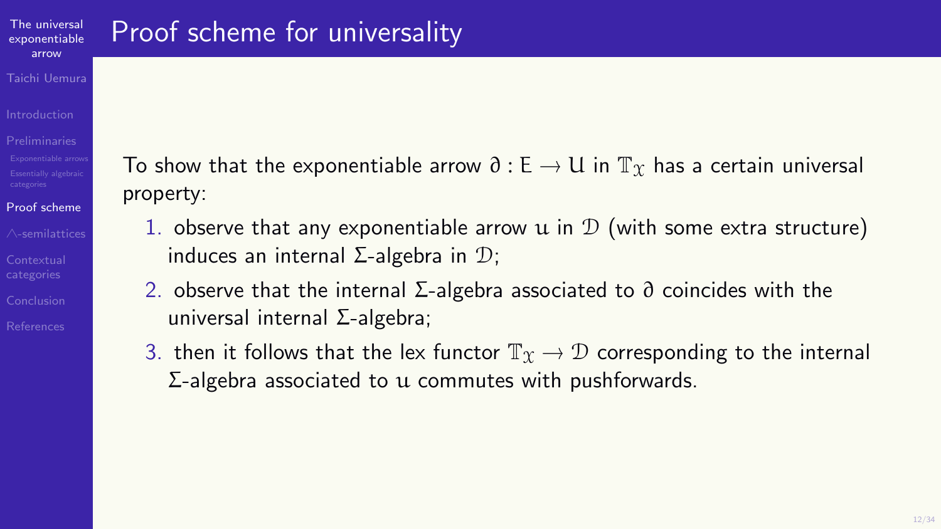### Proof scheme for universality

- 
- [Preliminaries](#page-9-0)
- [Proof scheme](#page-14-0)
- 
- [Contextual](#page-30-0) [Conclusion](#page-47-0)
- 
- To show that the exponentiable arrow  $\partial : E \to U$  in  $\mathbb{T}_\Upsilon$  has a certain universal property:
	- 1. observe that any exponentiable arrow  $\mu$  in  $\mathcal{D}$  (with some extra structure) induces an internal Σ-algebra in D;
	- 2. observe that the internal  $\Sigma$ -algebra associated to  $\partial$  coincides with the universal internal Σ-algebra;
	- 3. then it follows that the lex functor  $\mathbb{T}_{\Upsilon} \to \mathcal{D}$  corresponding to the internal Σ-algebra associated to u commutes with pushforwards.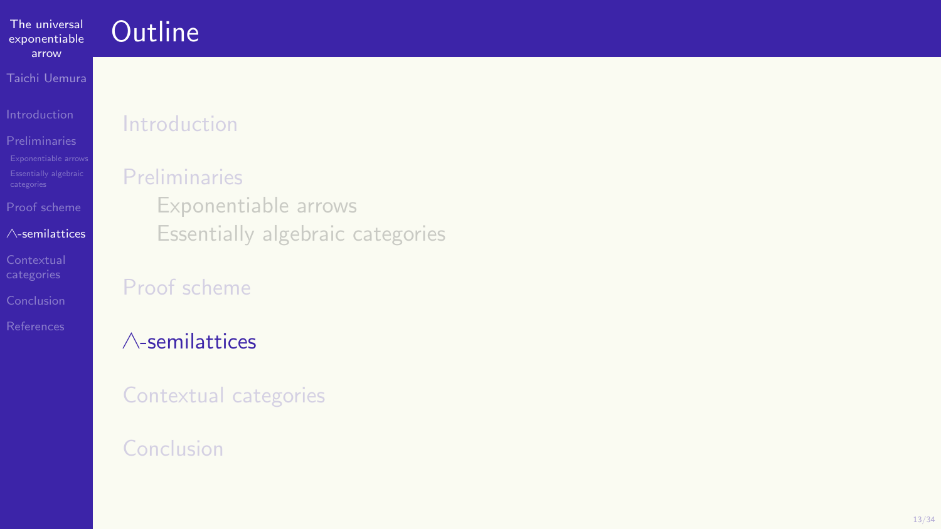### <span id="page-23-0"></span>**Outline**

#### Taichi Uemura

[Proof scheme](#page-14-0)

#### ∧[-semilattices](#page-23-0)

**[Contextual](#page-30-0)** [Conclusion](#page-47-0)

### [Introduction](#page-4-0)

#### **[Preliminaries](#page-9-0)**

[Exponentiable arrows](#page-9-0) [Essentially algebraic categories](#page-13-0)

#### [Proof scheme](#page-14-0)

### ∧[-semilattices](#page-23-0)

#### [Contextual categories](#page-30-0)

#### **[Conclusion](#page-47-0)**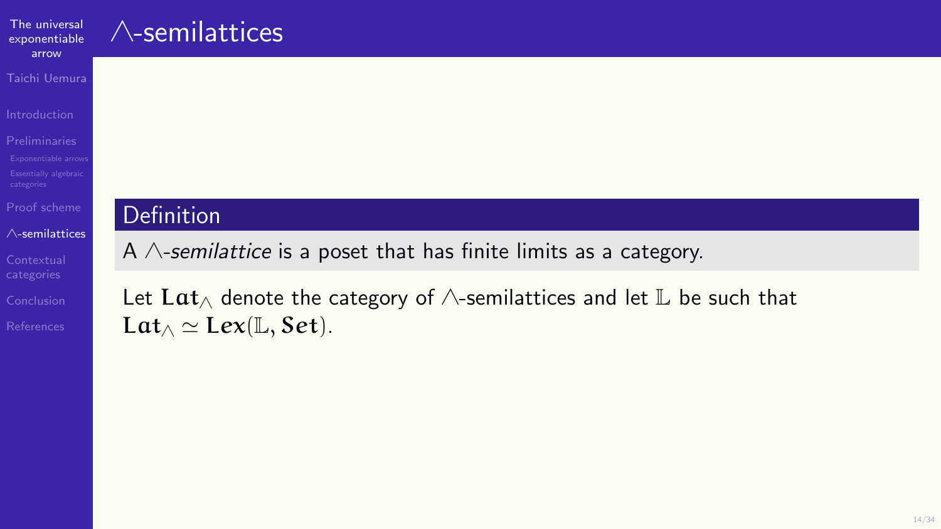#### Taichi Uemura

- 
- [Proof scheme](#page-14-0)

#### ∧[-semilattices](#page-23-0)

**[Contextual](#page-30-0)** [Conclusion](#page-47-0)

### ∧-semilattices

#### Definition

A  $\wedge$ -semilattice is a poset that has finite limits as a category.

Let Lat<sub>∧</sub> denote the category of  $\wedge$ -semilattices and let L be such that Lat<sub>∧</sub>  $\simeq$  Lex(L, Set).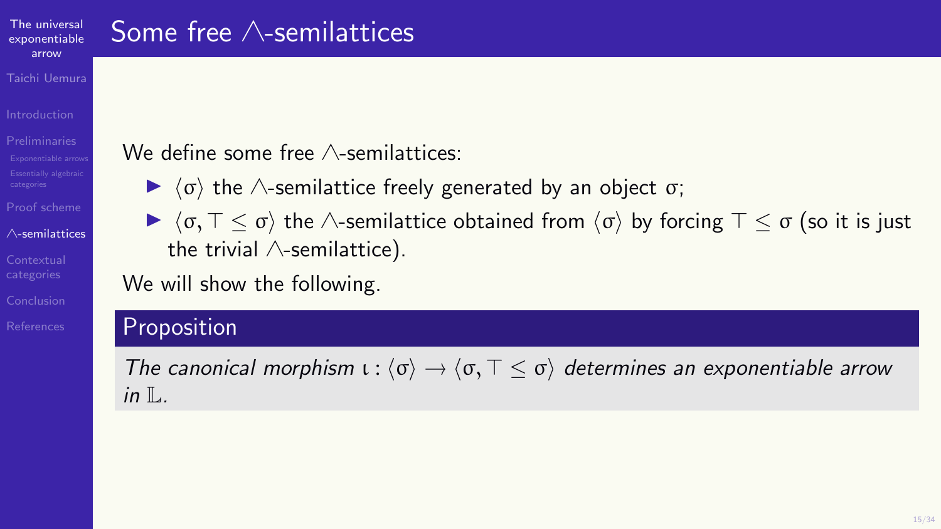### Some free ∧-semilattices

- 
- [Proof scheme](#page-14-0)
- ∧[-semilattices](#page-23-0)
- [Contextual](#page-30-0) [Conclusion](#page-47-0)

### We define some free ∧-semilattices:

- $\triangleright$   $\langle \sigma \rangle$  the  $\wedge$ -semilattice freely generated by an object  $\sigma$ ;
- $\triangleright$   $\langle \sigma, \top \leq \sigma \rangle$  the ∧-semilattice obtained from  $\langle \sigma \rangle$  by forcing  $\top \leq \sigma$  (so it is just the trivial ∧-semilattice).

### We will show the following.

### Proposition

The canonical morphism  $\iota : \langle \sigma \rangle \to \langle \sigma, \tau \leq \sigma \rangle$  determines an exponentiable arrow in L.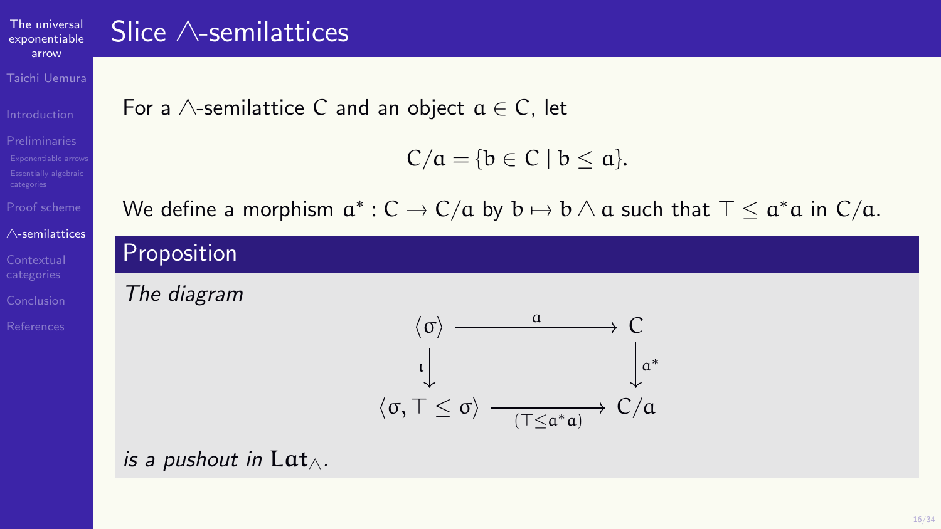#### Taichi Uemura

[Preliminaries](#page-9-0)

[Proof scheme](#page-14-0)

```
∧-semilattices
```
[Contextual](#page-30-0) [Conclusion](#page-47-0)

### Slice ∧-semilattices

For a  $\wedge$ -semilattice C and an object  $a \in C$ , let

$$
C/a=\{b\in C\mid b\leq a\}.
$$

We define a morphism  $a^*$  :  $C \to C/a$  by  $b \mapsto b \wedge a$  such that  $\top \le a^*a$  in  $C/a$ .

### **Proposition**

The diagram

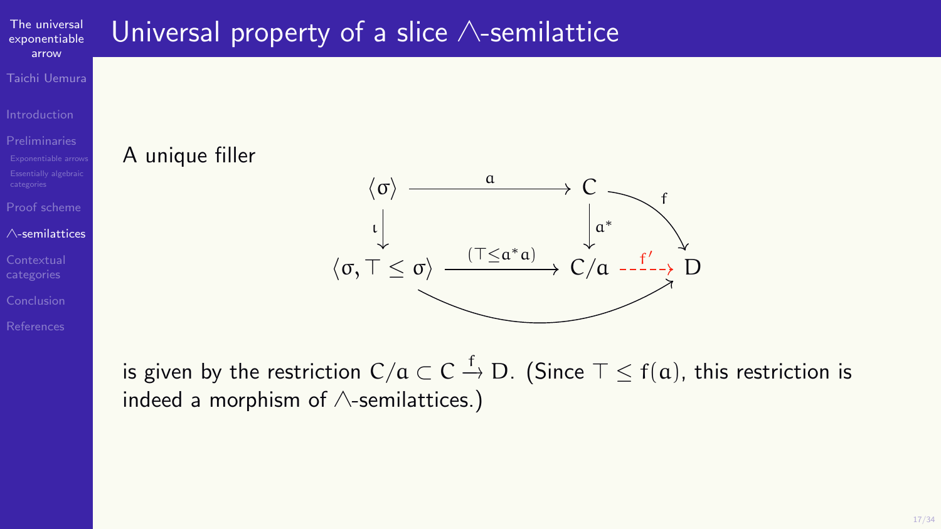### Universal property of a slice ∧-semilattice

#### Taichi Uemura

[Preliminaries](#page-9-0) [Proof scheme](#page-14-0)

∧[-semilattices](#page-23-0) [Contextual](#page-30-0) [Conclusion](#page-47-0)

#### A unique filler



is given by the restriction  $C/a \subset C \xrightarrow{f} D$ . (Since  $\top \leq f(a)$ , this restriction is indeed a morphism of ∧-semilattices.)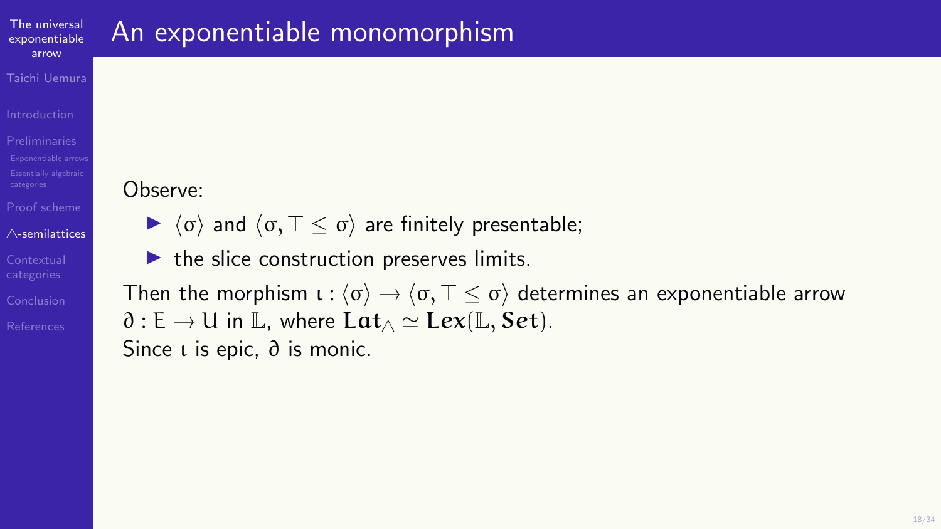### An exponentiable monomorphism

# Taichi Uemura

- [Preliminaries](#page-9-0)
- [Proof scheme](#page-14-0)
- ∧[-semilattices](#page-23-0)
- [Contextual](#page-30-0) [Conclusion](#page-47-0)

### Observe:

- $\blacktriangleright \langle \sigma \rangle$  and  $\langle \sigma, \top \leq \sigma \rangle$  are finitely presentable;
- $\blacktriangleright$  the slice construction preserves limits.

Then the morphism  $\iota : \langle \sigma \rangle \to \langle \sigma, \tau \leq \sigma \rangle$  determines an exponentiable arrow  $\partial : E \to U$  in L, where  $Lat_\wedge \simeq Lex(\mathbb{L}, Set)$ . Since  $\iota$  is epic,  $\partial$  is monic.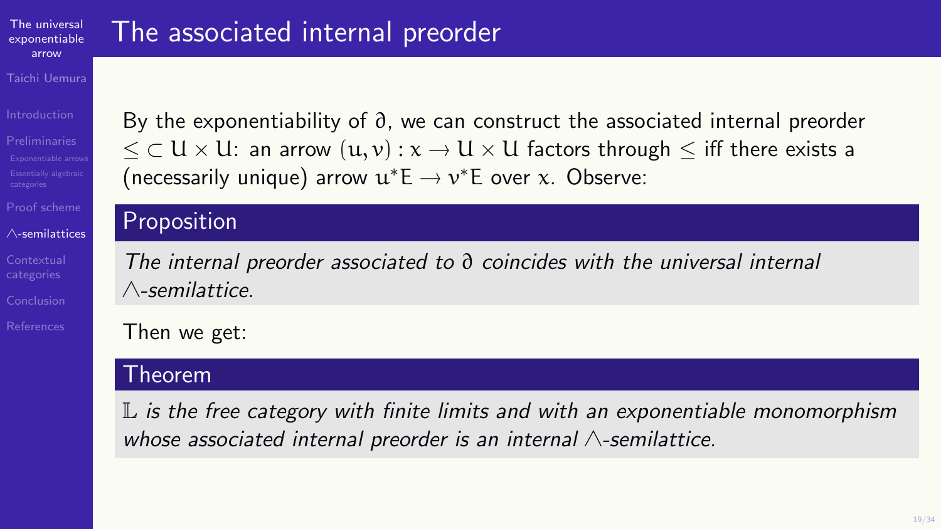### The associated internal preorder

#### Taichi Uemura

- 
- [Proof scheme](#page-14-0)
- ∧[-semilattices](#page-23-0)
- [Contextual](#page-30-0) [Conclusion](#page-47-0)

By the exponentiability of ∂, we can construct the associated internal preorder  $\leq \subset U \times U$ : an arrow  $(u, v) : x \to U \times U$  factors through  $\leq$  iff there exists a (necessarily unique) arrow  $u^*E \to v^*E$  over x. Observe:

### Proposition

The internal preorder associated to ∂ coincides with the universal internal ∧-semilattice.

Then we get:

### Theorem

 $\mathbb L$  is the free category with finite limits and with an exponentiable monomorphism whose associated internal preorder is an internal ∧-semilattice.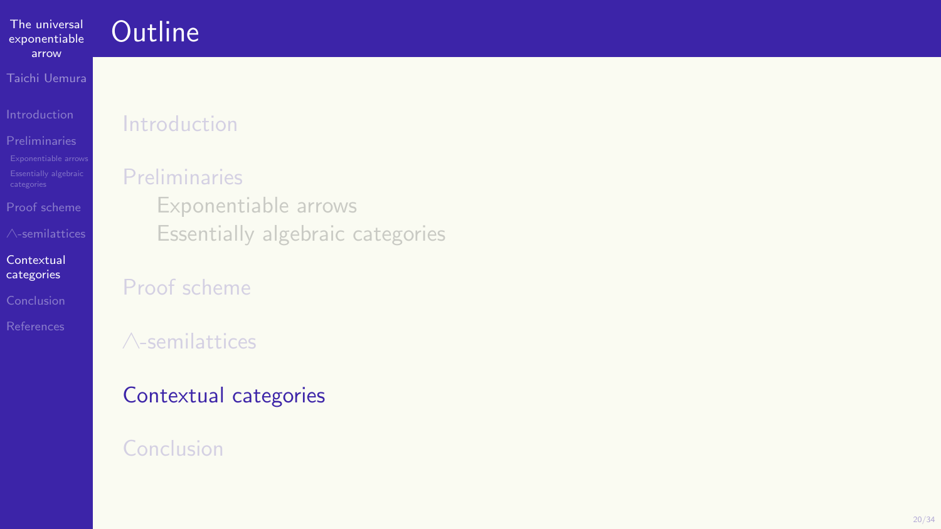### <span id="page-30-0"></span>**Outline**

#### Taichi Uemura

[Proof scheme](#page-14-0)

#### [Contextual](#page-30-0) categories

[Conclusion](#page-47-0)

### [Introduction](#page-4-0)

#### **[Preliminaries](#page-9-0)**

[Exponentiable arrows](#page-9-0) [Essentially algebraic categories](#page-13-0)

### [Proof scheme](#page-14-0)

∧[-semilattices](#page-23-0)

### [Contextual categories](#page-30-0)

#### **[Conclusion](#page-47-0)**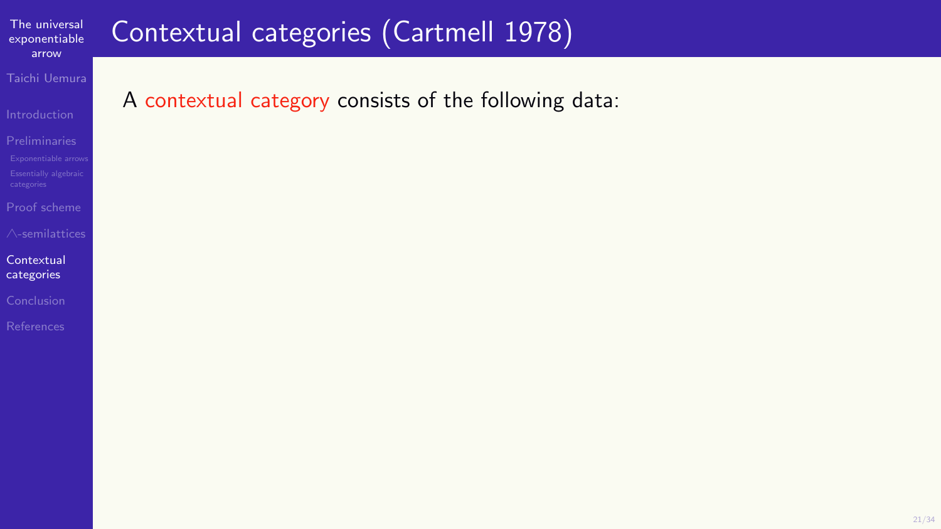#### Taichi Uemura

[Proof scheme](#page-14-0)

[Contextual](#page-30-0) categories

[Conclusion](#page-47-0)

# Contextual categories (Cartmell [1978\)](#page-50-2)

### A contextual category consists of the following data: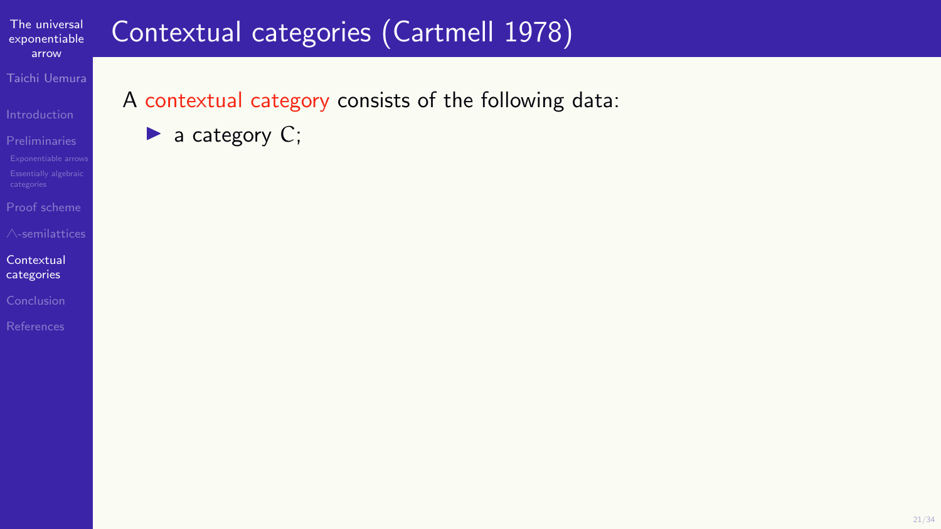#### Taichi Uemura

[Proof scheme](#page-14-0)

[Contextual](#page-30-0) categories

[Conclusion](#page-47-0)

# Contextual categories (Cartmell [1978\)](#page-50-2)

### A contextual category consists of the following data:

 $\blacktriangleright$  a category  $C$ ;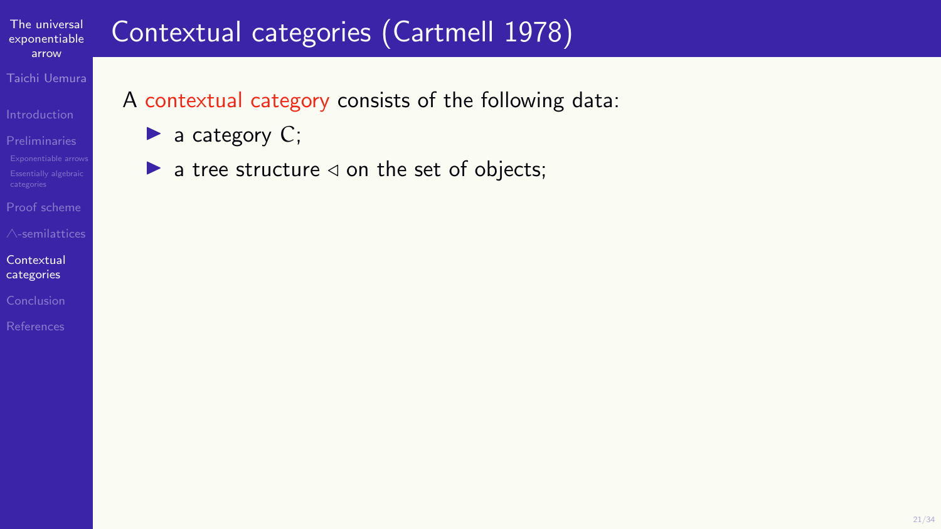#### Taichi Uemura

[Preliminaries](#page-9-0)

[Proof scheme](#page-14-0)

### A contextual category consists of the following data:

Contextual categories (Cartmell [1978\)](#page-50-2)

- $\blacktriangleright$  a category  $C$ ;
- $\blacktriangleright$  a tree structure  $\triangleleft$  on the set of objects;

[Contextual](#page-30-0) categories [Conclusion](#page-47-0)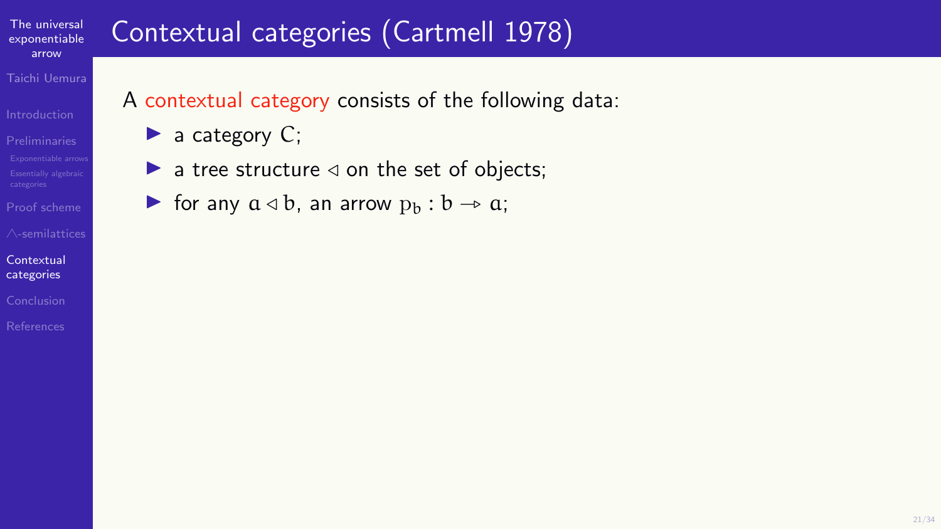#### Taichi Uemura

- [Preliminaries](#page-9-0)
- [Proof scheme](#page-14-0)
- 

#### [Contextual](#page-30-0) categories

- [Conclusion](#page-47-0)
- 

# Contextual categories (Cartmell [1978\)](#page-50-2)

### A contextual category consists of the following data:

- $\blacktriangleright$  a category  $C$ ;
- $\blacktriangleright$  a tree structure  $\triangleleft$  on the set of objects;
- **I** for any  $a \triangleleft b$ , an arrow  $p_b : b \rightarrow a$ ;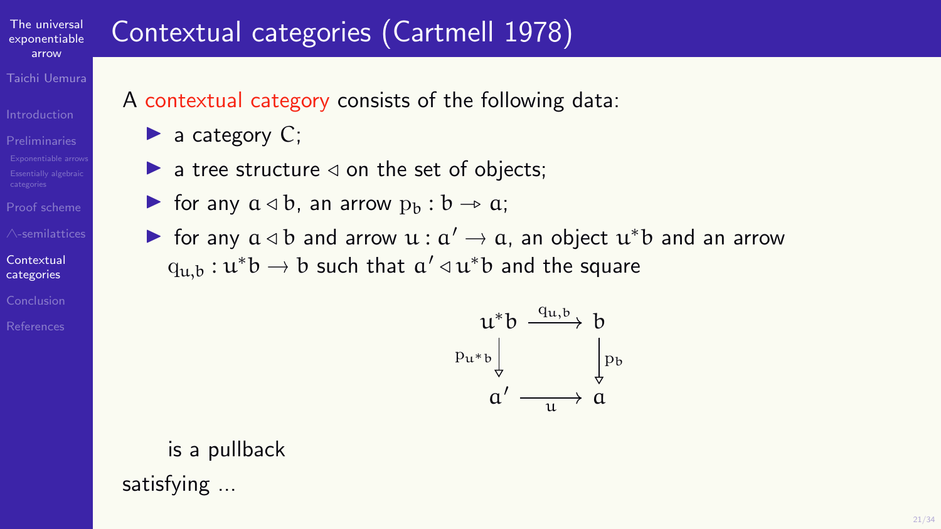# Contextual categories (Cartmell [1978\)](#page-50-2)

#### Taichi Uemura

- 
- [Proof scheme](#page-14-0)
- 

#### [Contextual](#page-30-0) categories

[Conclusion](#page-47-0)

### A contextual category consists of the following data:

- $\blacktriangleright$  a category  $C$ ;
- $\blacktriangleright$  a tree structure  $\triangleleft$  on the set of objects;
- **If** for any  $a \triangleleft b$ , an arrow  $p_b : b \rightarrow a$ ;
- **►** for any  $a \triangleleft b$  and arrow  $u : a' \rightarrow a$ , an object  $u^*b$  and an arrow  $q_{u,b}: u^*b \to b$  such that  $a' \triangleleft u^*b$  and the square

$$
\begin{array}{ccc} u^*b & \xrightarrow{q_{u,b}} & b \\ p_{u^*b} & & \downarrow p_b \\ a' & \xrightarrow{u} a \end{array}
$$

is a pullback satisfying ...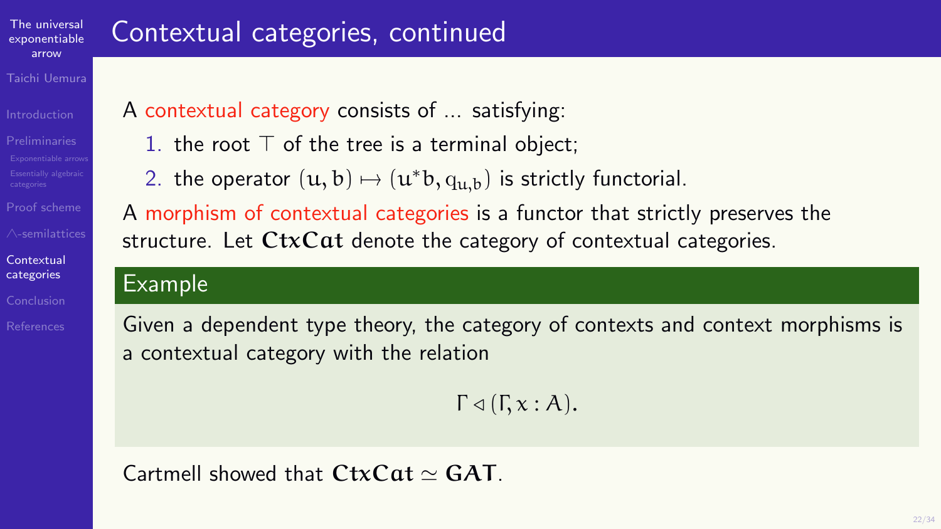### Contextual categories, continued

#### Taichi Uemura

[Proof scheme](#page-14-0)

[Contextual](#page-30-0) categories

[Conclusion](#page-47-0)

# A contextual category consists of ... satisfying:

- 1. the root  $\top$  of the tree is a terminal object;
- 2. the operator  $(u, b) \mapsto (u^*b, q_{u,b})$  is strictly functorial.

A morphism of contextual categories is a functor that strictly preserves the structure. Let  $CtxCat$  denote the category of contextual categories.

### Example

Given a dependent type theory, the category of contexts and context morphisms is a contextual category with the relation

 $\Gamma \triangleleft (\Gamma x : A).$ 

Cartmell showed that  $CtxCat \simeq GAT$ .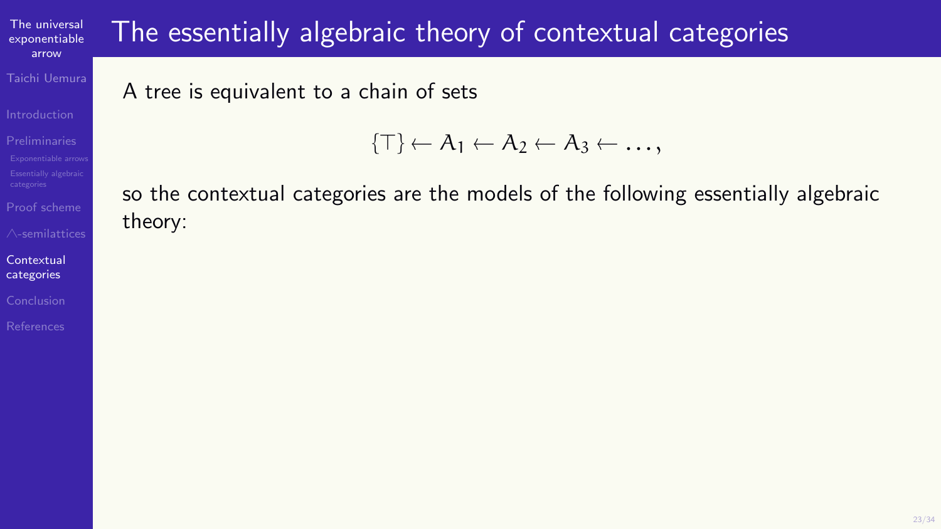#### Taichi Uemura

[Proof scheme](#page-14-0)

[Contextual](#page-30-0) categories

[Conclusion](#page-47-0)

# The essentially algebraic theory of contextual categories

A tree is equivalent to a chain of sets

$$
\{\top\} \leftarrow A_1 \leftarrow A_2 \leftarrow A_3 \leftarrow \ldots,
$$

so the contextual categories are the models of the following essentially algebraic theory: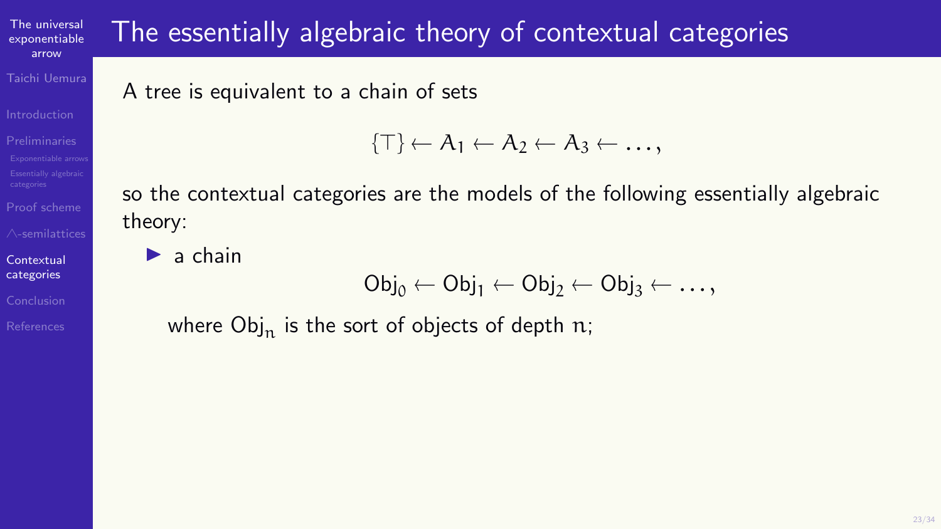#### Taichi Uemura

[Preliminaries](#page-9-0)

[Proof scheme](#page-14-0)

[Contextual](#page-30-0) categories

[Conclusion](#page-47-0)

# The essentially algebraic theory of contextual categories

A tree is equivalent to a chain of sets

$$
\{\top\} \leftarrow A_1 \leftarrow A_2 \leftarrow A_3 \leftarrow \ldots,
$$

so the contextual categories are the models of the following essentially algebraic theory:

 $\blacktriangleright$  a chain

$$
Obj_0 \leftarrow Obj_1 \leftarrow Obj_2 \leftarrow Obj_3 \leftarrow \ldots,
$$

where  $Obj_n$  is the sort of objects of depth  $n$ ;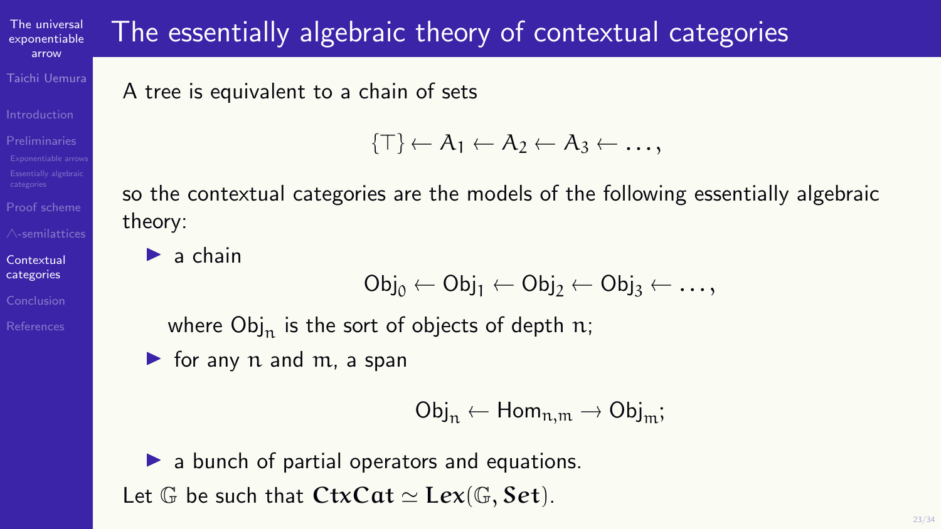#### Taichi Uemura

[Proof scheme](#page-14-0)

[Contextual](#page-30-0) categories [Conclusion](#page-47-0)

# The essentially algebraic theory of contextual categories

A tree is equivalent to a chain of sets

$$
\{\top\} \leftarrow A_1 \leftarrow A_2 \leftarrow A_3 \leftarrow \ldots,
$$

so the contextual categories are the models of the following essentially algebraic theory:

 $\blacktriangleright$  a chain

$$
Obj_0 \leftarrow Obj_1 \leftarrow Obj_2 \leftarrow Obj_3 \leftarrow \ldots,
$$

where  $Obj_n$  is the sort of objects of depth  $n$ ;

 $\blacktriangleright$  for any n and m, a span

 $Obj_n \leftarrow Hom_{n,m} \rightarrow Obj_m;$ 

 $\blacktriangleright$  a bunch of partial operators and equations. Let G be such that  $CtxCat \simeq Lex(G, Set)$ .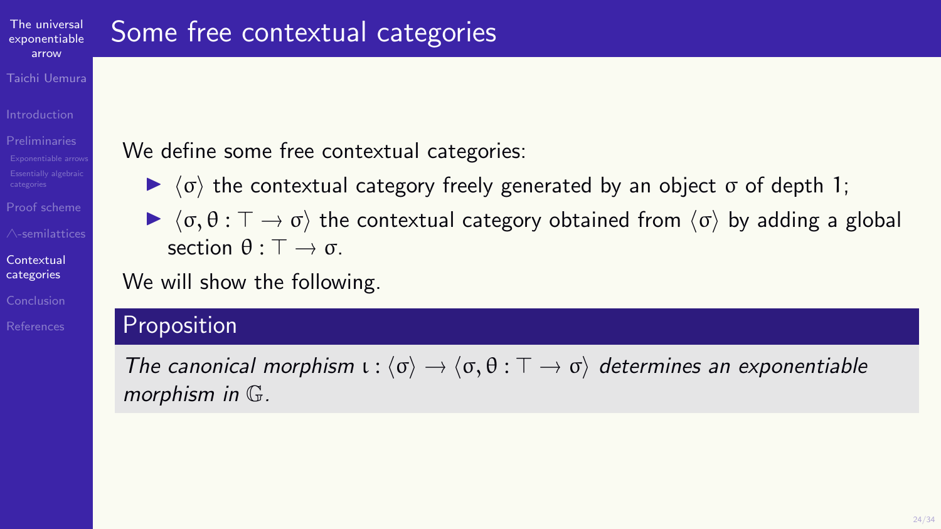### Some free contextual categories

#### Taichi Uemura

- 
- [Proof scheme](#page-14-0)
- 

[Contextual](#page-30-0) categories

[Conclusion](#page-47-0)

### We define some free contextual categories:

- $\triangleright \langle \sigma \rangle$  the contextual category freely generated by an object  $\sigma$  of depth 1;
- $\blacktriangleright$   $\langle \sigma, \theta : \top \rightarrow \sigma \rangle$  the contextual category obtained from  $\langle \sigma \rangle$  by adding a global section  $\theta \cdot \top \rightarrow \sigma$

### We will show the following.

### Proposition

The canonical morphism ι :  $\langle \sigma \rangle \to \langle \sigma, \theta : \top \to \sigma \rangle$  determines an exponentiable morphism in G.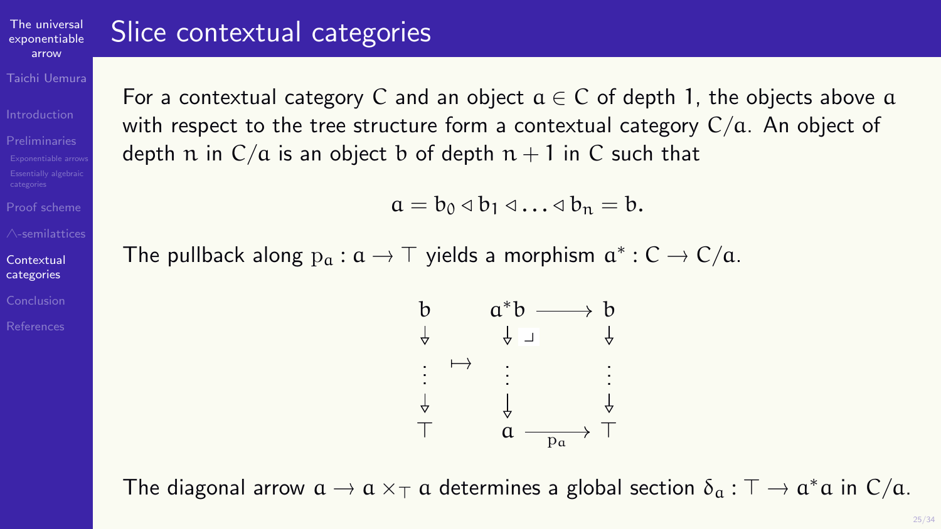### Slice contextual categories

Taichi Uemura

[Proof scheme](#page-14-0)

[Contextual](#page-30-0) categories [Conclusion](#page-47-0)

For a contextual category C and an object  $a \in C$  of depth 1, the objects above a with respect to the tree structure form a contextual category  $C/a$ . An object of depth n in  $C/a$  is an object b of depth  $n + 1$  in C such that

$$
a=b_0\triangleleft b_1\triangleleft\ldots\triangleleft b_n=b.
$$

The pullback along  $p_a: a \to \top$  yields a morphism  $a^*: C \to C/a$ .

$$
\begin{array}{ccccccccc}\nb & & a^*b & \longrightarrow & b \\
\downarrow & & \downarrow & \quad & \downarrow & \\
\vdots & \mapsto & \vdots & & \vdots \\
\downarrow & & \downarrow & & \downarrow & \\
\top & & a & \longrightarrow & \top\n\end{array}
$$

The diagonal arrow  $a \to a \times_\top a$  determines a global section  $\delta_a : \top \to a^*a$  in  $C/a$ .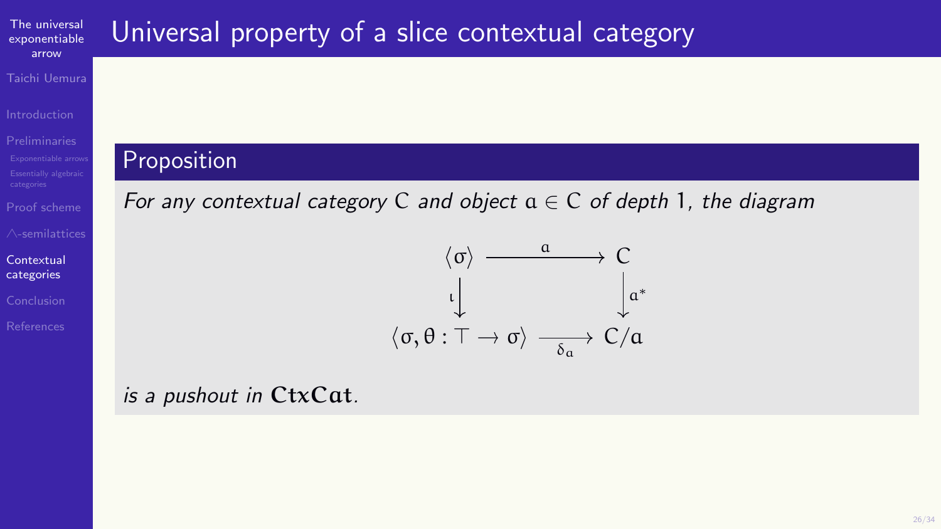[Preliminaries](#page-9-0)

[Proof scheme](#page-14-0)

[Contextual](#page-30-0) categories

[Conclusion](#page-47-0)

# Universal property of a slice contextual category

### Proposition

For any contextual category C and object  $a \in C$  of depth 1, the diagram



#### is a pushout in CtxCat.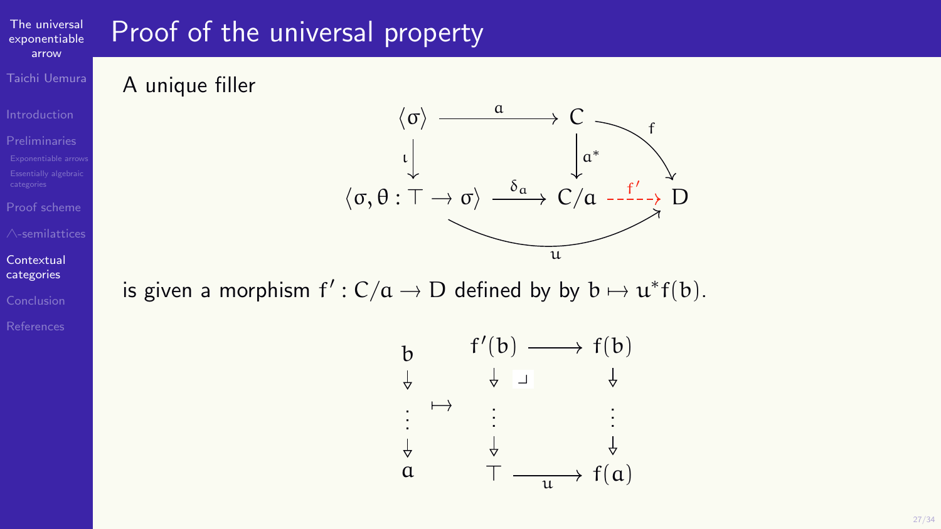## Proof of the universal property

A unique filler

#### Taichi Uemura

# [Preliminaries](#page-9-0)

- 
- [Proof scheme](#page-14-0)
- 

#### [Contextual](#page-30-0) categories

[Conclusion](#page-47-0)



is given a morphism  $f': C/a \to D$  defined by by  $b \mapsto u^*f(b)$ .

$$
\begin{array}{ccc}\nb & f'(b) \longrightarrow f(b) \\
\downarrow & \downarrow \square & \downarrow \\
\vdots & \vdots & \vdots \\
\downarrow & \downarrow & \downarrow \\
\alpha & \top & \longrightarrow & f(a)\n\end{array}
$$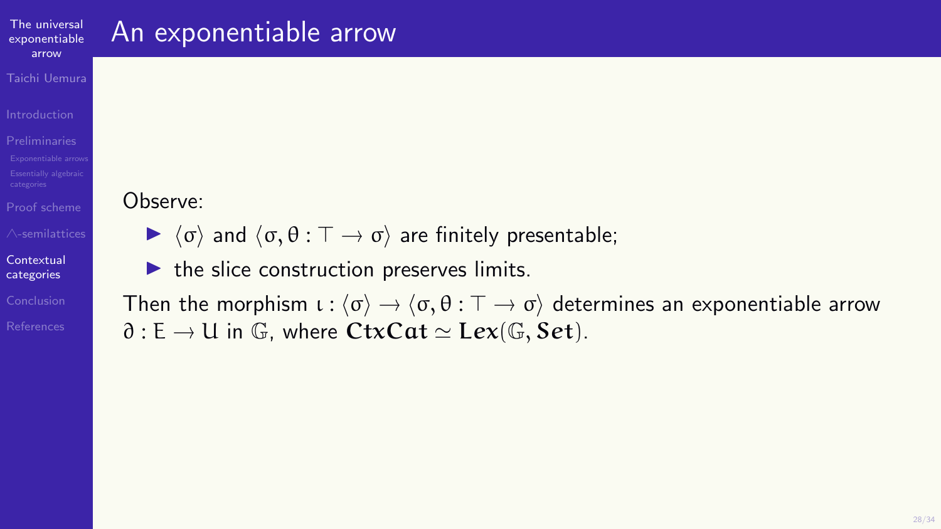### An exponentiable arrow

# Taichi Uemura

- [Preliminaries](#page-9-0)
- [Proof scheme](#page-14-0)
- 

[Contextual](#page-30-0) categories

[Conclusion](#page-47-0)

#### Observe:

- $\blacktriangleright \langle \sigma \rangle$  and  $\langle \sigma, \theta : \top \rightarrow \sigma \rangle$  are finitely presentable;
- $\blacktriangleright$  the slice construction preserves limits.

Then the morphism  $\iota : \langle \sigma \rangle \to \langle \sigma, \theta : \top \to \sigma \rangle$  determines an exponentiable arrow  $\partial : E \to U$  in G, where  $CtxCat \simeq Lex(G, Set)$ .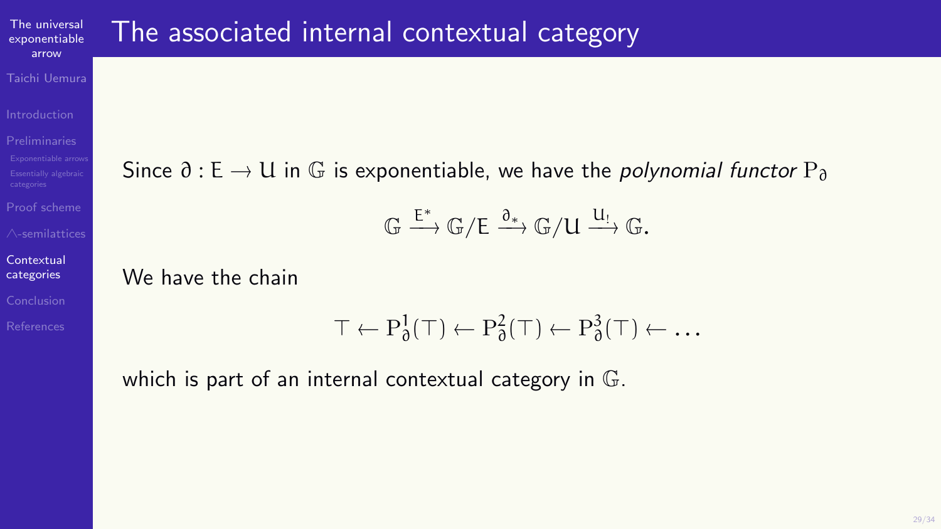[Preliminaries](#page-9-0)

[Proof scheme](#page-14-0)

[Contextual](#page-30-0) categories

[Conclusion](#page-47-0)

### The associated internal contextual category

Since  $\partial : E \to U$  in  $\mathbb{G}$  is exponentiable, we have the *polynomial functor* P<sub>∂</sub>  $\mathbb{G} \xrightarrow{\mathbb{E}^*} \mathbb{G}/E \xrightarrow{\partial_*} \mathbb{G}/U \xrightarrow{U_!} \mathbb{G}.$ 

We have the chain

$$
\top \leftarrow P^1_\partial(\top) \leftarrow P^2_\partial(\top) \leftarrow P^3_\partial(\top) \leftarrow \dots
$$

which is part of an internal contextual category in  $\mathbb{G}$ .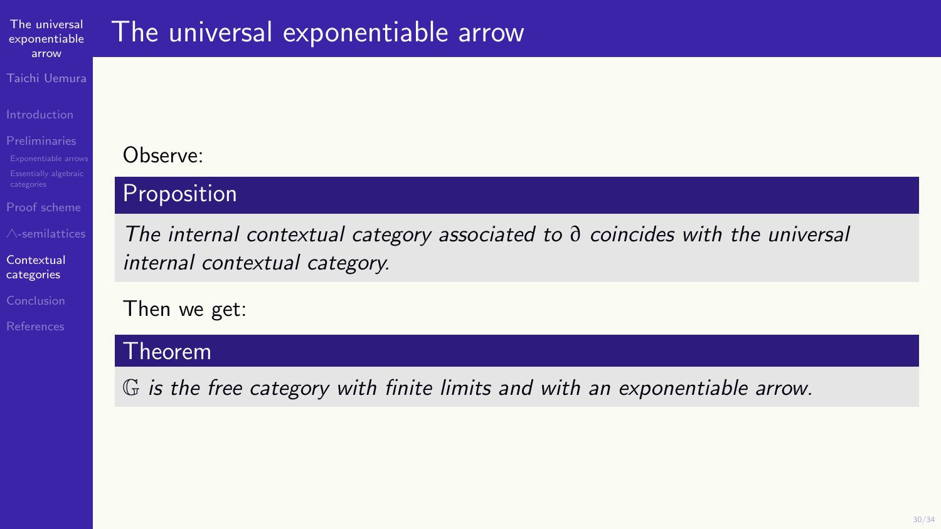### Taichi Uemura

[Proof scheme](#page-14-0)

[Contextual](#page-30-0) categories

[Conclusion](#page-47-0)

### Observe:

#### Proposition

The internal contextual category associated to ∂ coincides with the universal internal contextual category.

Then we get:

#### Theorem

G is the free category with finite limits and with an exponentiable arrow.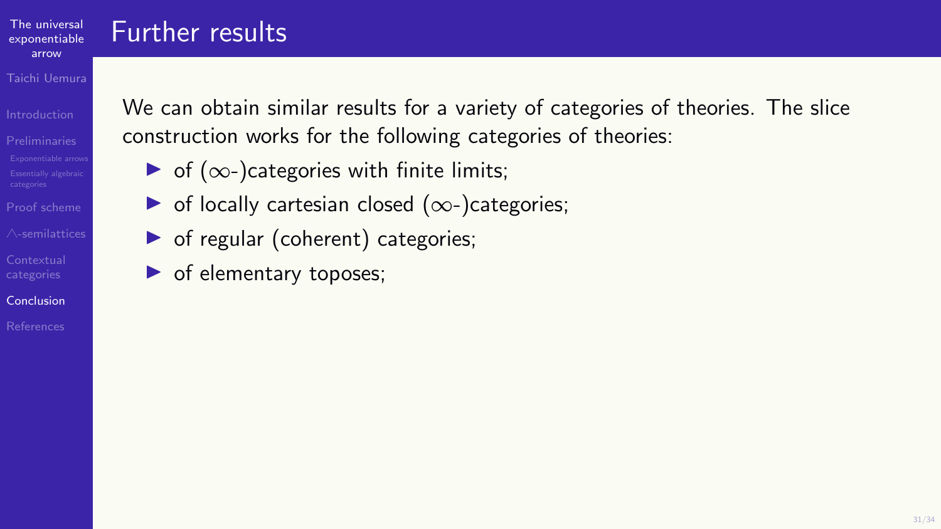#### Taichi Uemura

[Proof scheme](#page-14-0)

[Contextual](#page-30-0)

[Conclusion](#page-47-0)

We can obtain similar results for a variety of categories of theories. The slice construction works for the following categories of theories:

- $\triangleright$  of ( $\infty$ -)categories with finite limits;
- <sup>I</sup> of locally cartesian closed (∞-)categories;
- $\triangleright$  of regular (coherent) categories;
- $\triangleright$  of elementary toposes;

<span id="page-47-0"></span>Further results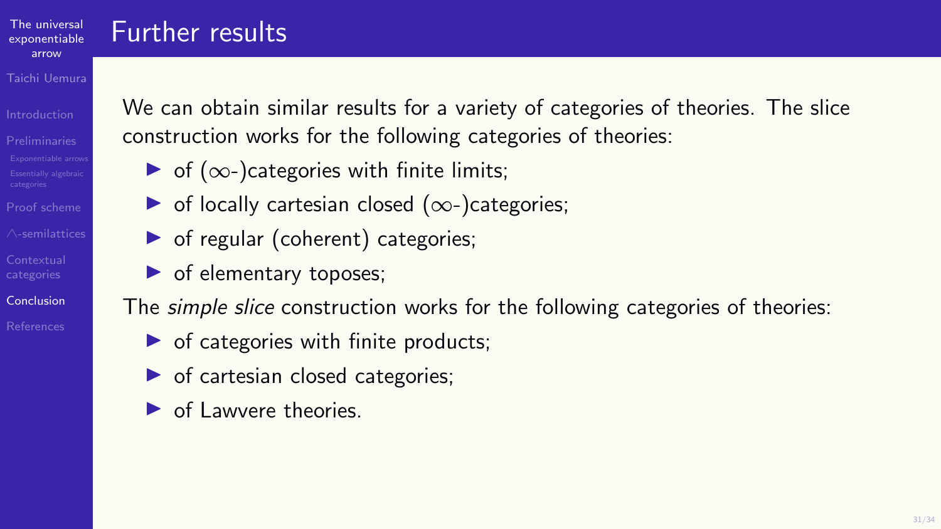### Further results

#### Taichi Uemura

- 
- [Proof scheme](#page-14-0)
- 

[Contextual](#page-30-0)

[Conclusion](#page-47-0)

We can obtain similar results for a variety of categories of theories. The slice construction works for the following categories of theories:

- $\triangleright$  of ( $\infty$ -)categories with finite limits;
- $\triangleright$  of locally cartesian closed ( $\infty$ -)categories;
- $\triangleright$  of regular (coherent) categories;
- $\triangleright$  of elementary toposes;

The *simple slice* construction works for the following categories of theories:

- $\triangleright$  of categories with finite products;
- $\triangleright$  of cartesian closed categories;
- $\triangleright$  of Lawvere theories.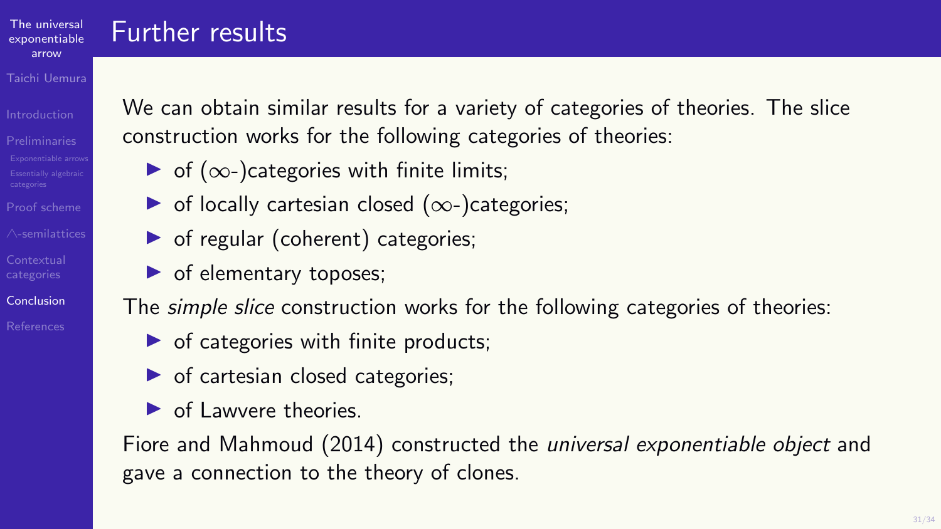#### Taichi Uemura

[Proof scheme](#page-14-0)

[Contextual](#page-30-0)

[Conclusion](#page-47-0)

### Further results

We can obtain similar results for a variety of categories of theories. The slice construction works for the following categories of theories:

- $\triangleright$  of ( $\infty$ -)categories with finite limits;
- <sup>I</sup> of locally cartesian closed (∞-)categories;
- $\triangleright$  of regular (coherent) categories;
- $\triangleright$  of elementary toposes;

The *simple slice* construction works for the following categories of theories:

- $\triangleright$  of categories with finite products;
- $\triangleright$  of cartesian closed categories;
- $\triangleright$  of Lawvere theories.

Fiore and Mahmoud [\(2014\)](#page-50-3) constructed the universal exponentiable object and gave a connection to the theory of clones.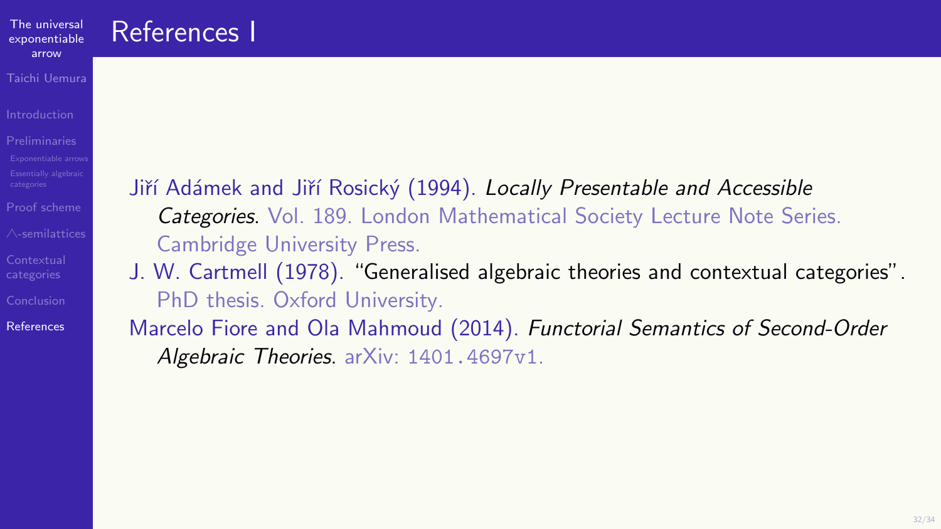### <span id="page-50-0"></span>References I

#### Taichi Uemura

- 
- [Proof scheme](#page-14-0)
- 
- [Contextual](#page-30-0) [Conclusion](#page-47-0)
- [References](#page-50-0)

- <span id="page-50-1"></span>Jiří Adámek and Jiří Rosický (1994). Locally Presentable and Accessible Categories. Vol. 189. London Mathematical Society Lecture Note Series. Cambridge University Press.
- <span id="page-50-2"></span>J. W. Cartmell (1978). "Generalised algebraic theories and contextual categories". PhD thesis. Oxford University.
- <span id="page-50-3"></span>Marcelo Fiore and Ola Mahmoud (2014). Functorial Semantics of Second-Order Algebraic Theories. arXiv: [1401.4697v1](https://arxiv.org/abs/1401.4697v1).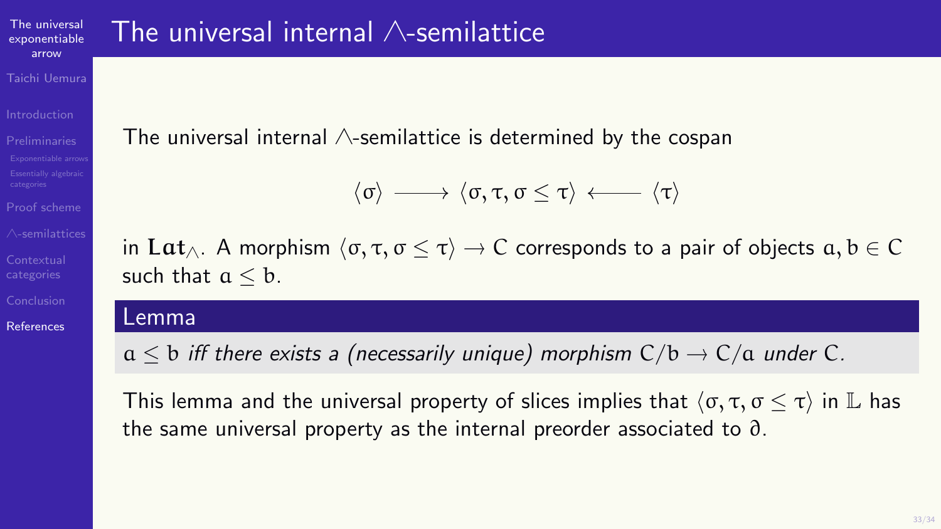- 
- [Proof scheme](#page-14-0)
- 
- **[Contextual](#page-30-0)** [Conclusion](#page-47-0)

[References](#page-50-0)

### The universal internal ∧-semilattice

### The universal internal ∧-semilattice is determined by the cospan

$$
\langle \sigma \rangle \longrightarrow \langle \sigma, \tau, \sigma \leq \tau \rangle \longleftarrow \langle \tau \rangle
$$

in Lat<sub>∧</sub>. A morphism  $\langle \sigma, \tau, \sigma \leq \tau \rangle \rightarrow C$  corresponds to a pair of objects a, b  $\in C$ such that  $a < b$ .

#### Lemma

 $a < b$  iff there exists a (necessarily unique) morphism  $C/b \rightarrow C/a$  under C.

This lemma and the universal property of slices implies that  $\langle \sigma, \tau, \sigma \leq \tau \rangle$  in L has the same universal property as the internal preorder associated to ∂.